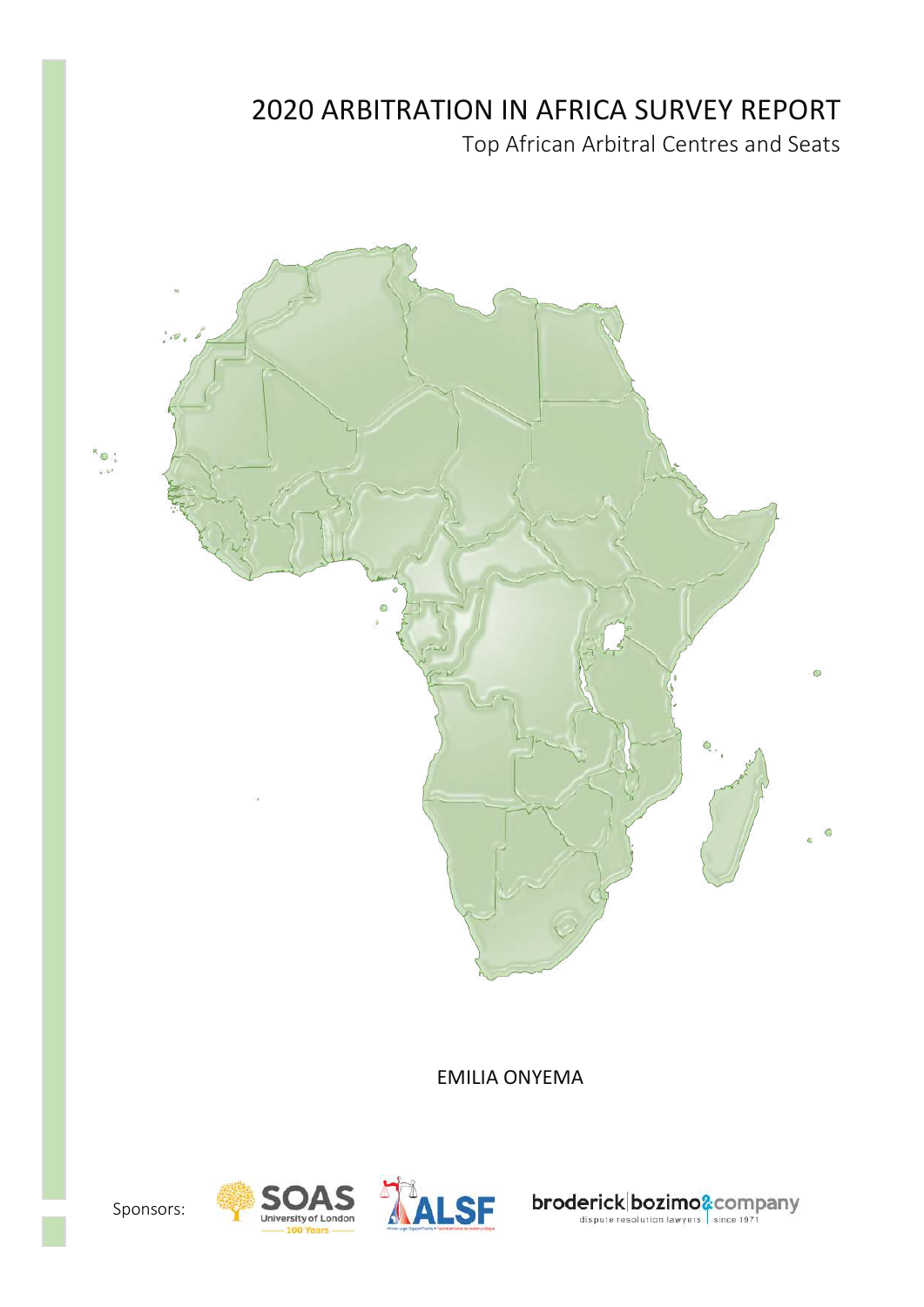# **2020 ARBITRATION IN AFRICA SURVEY REPORT**

Top African Arbitral Centres and Seats



**EMILIA ONYEMA** 





broderick bozimo& company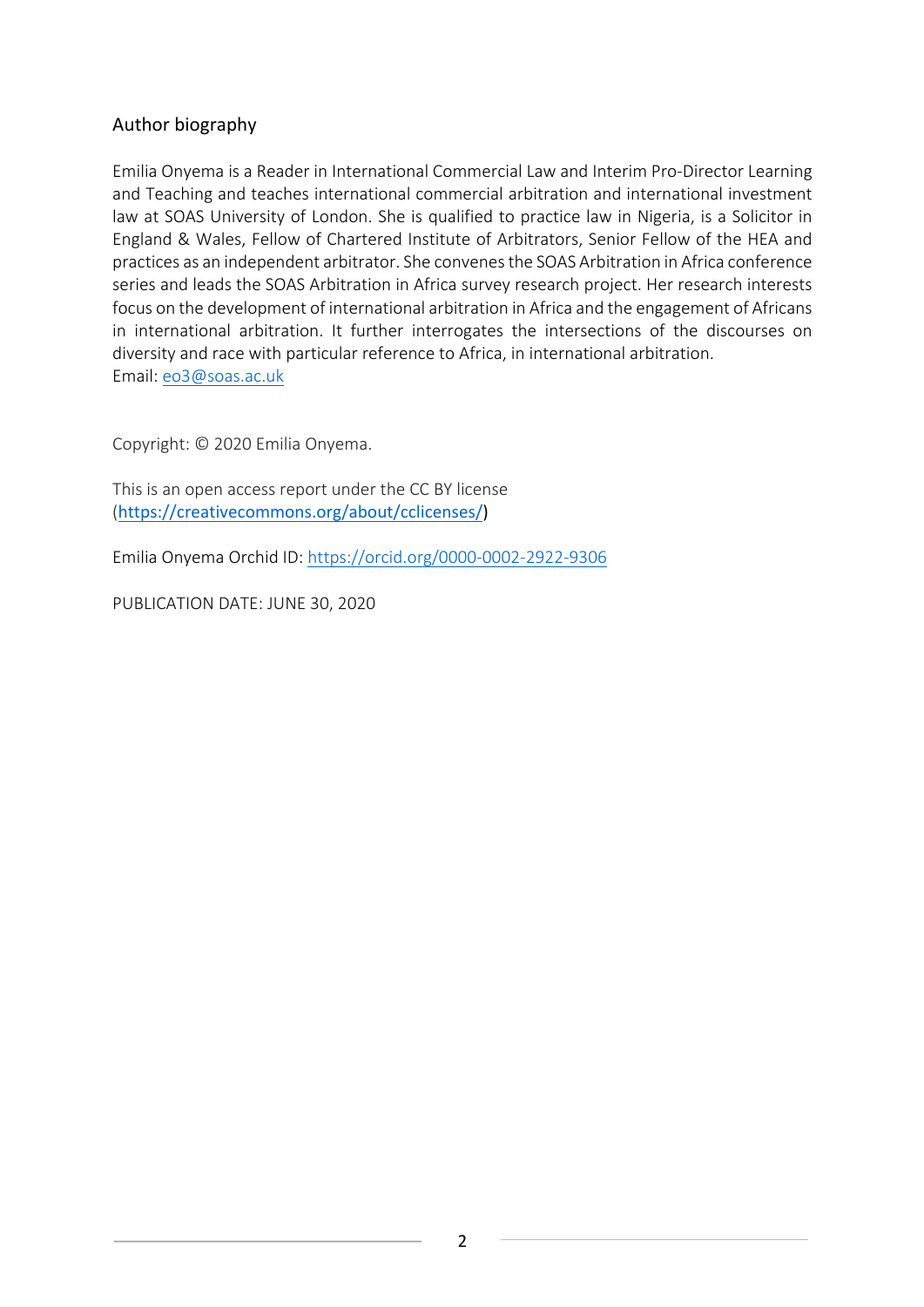## Author biography

Emilia Onyema is a Reader in International Commercial Law and Interim Pro-Director Learning and Teaching and teaches international commercial arbitration and international investment law at SOAS University of London. She is qualified to practice law in Nigeria, is a Solicitor in England & Wales, Fellow of Chartered Institute of Arbitrators, Senior Fellow of the HEA and practices as an independent arbitrator. She convenes the SOAS Arbitration in Africa conference series and leads the SOAS Arbitration in Africa survey research project. Her research interests focus on the development of international arbitration in Africa and the engagement of Africans in international arbitration. It further interrogates the intersections of the discourses on diversity and race with particular reference to Africa, in international arbitration. Email: eo3@soas.ac.uk

Copyright: © 2020 Emilia Onyema.

This is an open access report under the CC BY license (https://creativecommons.org/about/cclicenses/) 

Emilia Onyema Orchid ID: https://orcid.org/0000-0002-2922-9306

PUBLICATION DATE: JUNE 30, 2020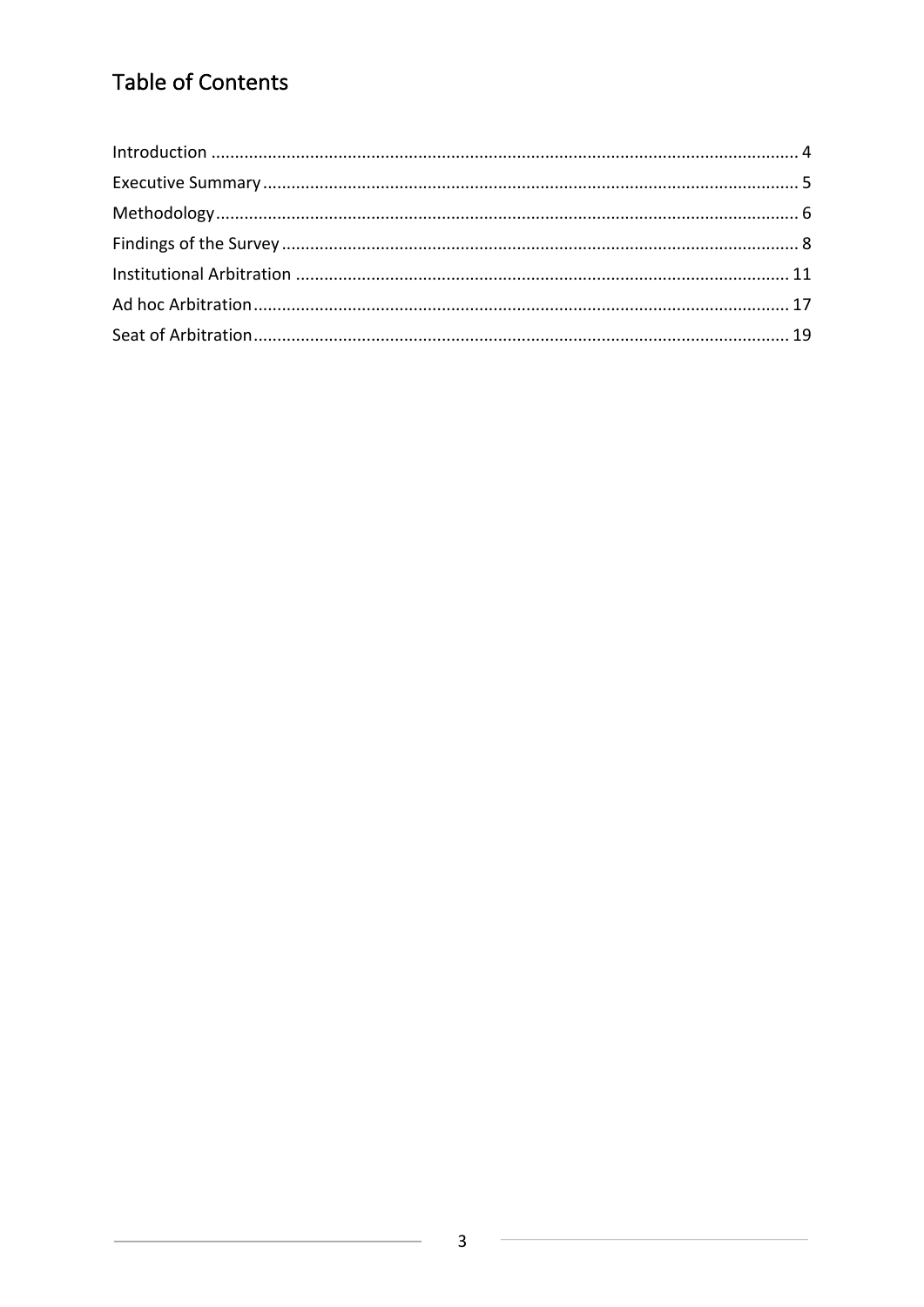# Table of Contents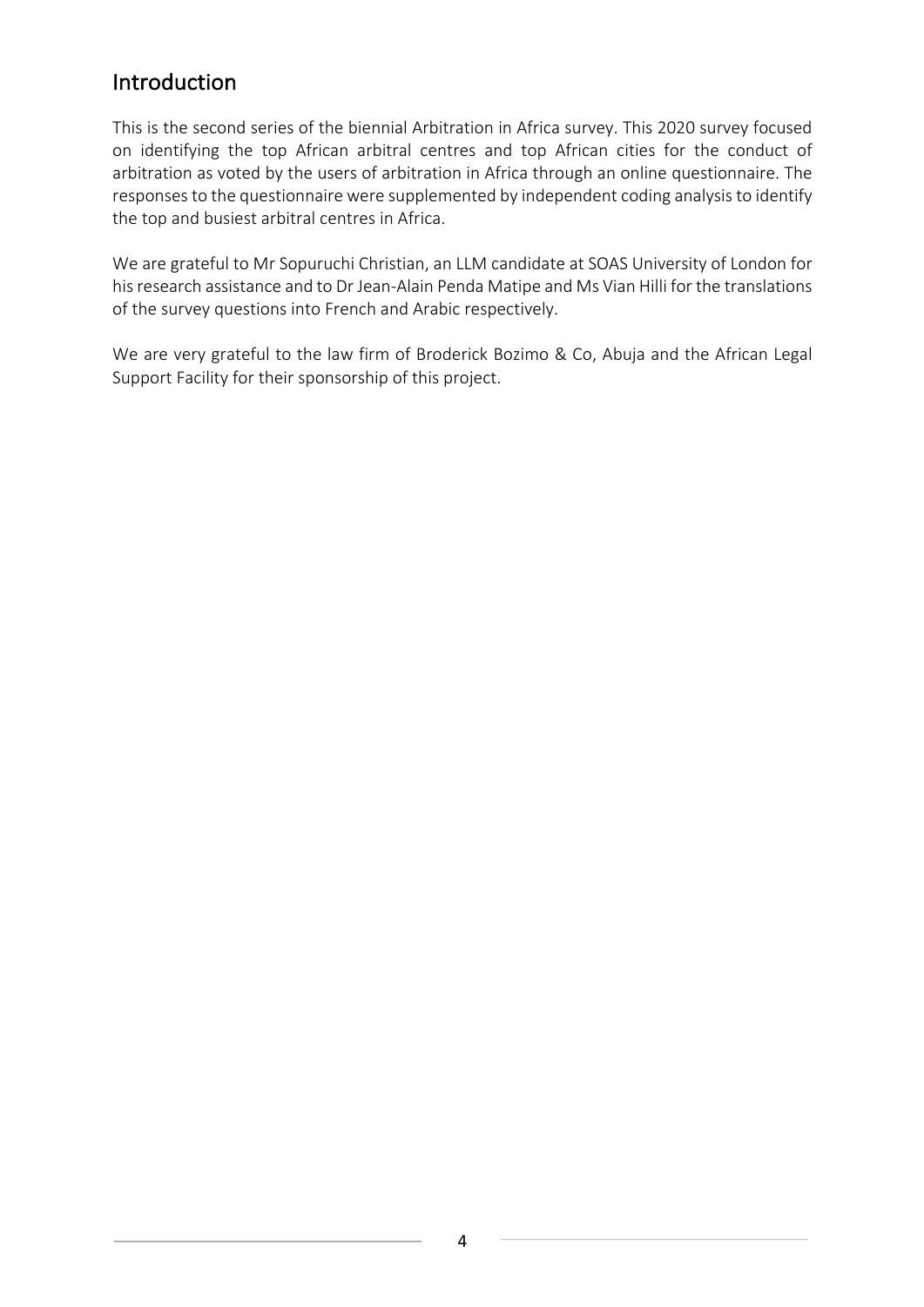## Introduction

This is the second series of the biennial Arbitration in Africa survey. This 2020 survey focused on identifying the top African arbitral centres and top African cities for the conduct of arbitration as voted by the users of arbitration in Africa through an online questionnaire. The responses to the questionnaire were supplemented by independent coding analysis to identify the top and busiest arbitral centres in Africa.

We are grateful to Mr Sopuruchi Christian, an LLM candidate at SOAS University of London for his research assistance and to Dr Jean-Alain Penda Matipe and Ms Vian Hilli for the translations of the survey questions into French and Arabic respectively.

We are very grateful to the law firm of Broderick Bozimo & Co, Abuja and the African Legal Support Facility for their sponsorship of this project.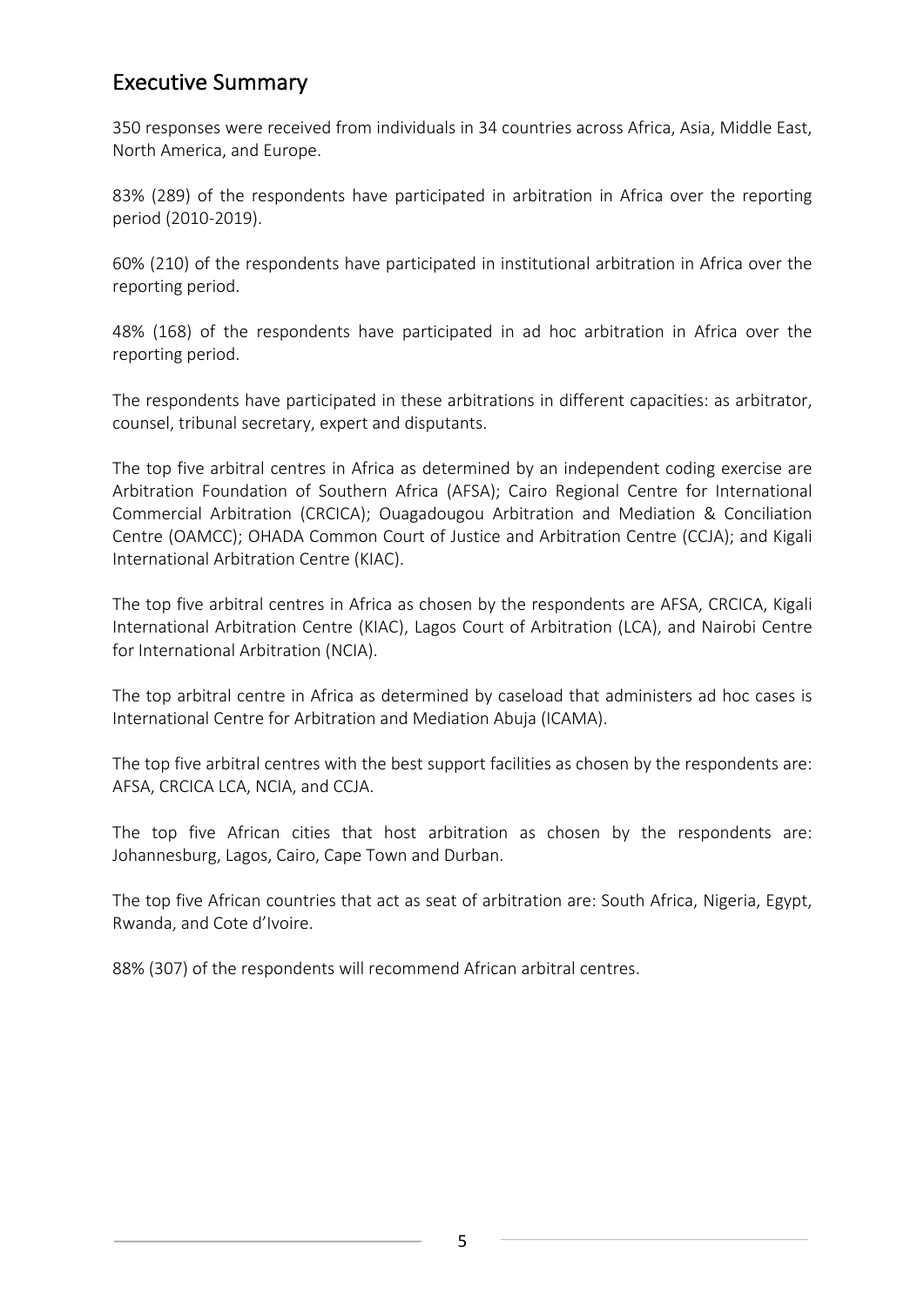## **Executive Summary**

350 responses were received from individuals in 34 countries across Africa, Asia, Middle East, North America, and Europe.

83% (289) of the respondents have participated in arbitration in Africa over the reporting period (2010-2019).

60% (210) of the respondents have participated in institutional arbitration in Africa over the reporting period.

48% (168) of the respondents have participated in ad hoc arbitration in Africa over the reporting period.

The respondents have participated in these arbitrations in different capacities: as arbitrator, counsel, tribunal secretary, expert and disputants.

The top five arbitral centres in Africa as determined by an independent coding exercise are Arbitration Foundation of Southern Africa (AFSA); Cairo Regional Centre for International Commercial Arbitration (CRCICA); Ouagadougou Arbitration and Mediation & Conciliation Centre (OAMCC); OHADA Common Court of Justice and Arbitration Centre (CCJA); and Kigali International Arbitration Centre (KIAC).

The top five arbitral centres in Africa as chosen by the respondents are AFSA, CRCICA, Kigali International Arbitration Centre (KIAC), Lagos Court of Arbitration (LCA), and Nairobi Centre for International Arbitration (NCIA).

The top arbitral centre in Africa as determined by caseload that administers ad hoc cases is International Centre for Arbitration and Mediation Abuja (ICAMA).

The top five arbitral centres with the best support facilities as chosen by the respondents are: AFSA, CRCICA LCA, NCIA, and CCJA.

The top five African cities that host arbitration as chosen by the respondents are: Johannesburg, Lagos, Cairo, Cape Town and Durban.

The top five African countries that act as seat of arbitration are: South Africa, Nigeria, Egypt, Rwanda, and Cote d'Ivoire.

88% (307) of the respondents will recommend African arbitral centres.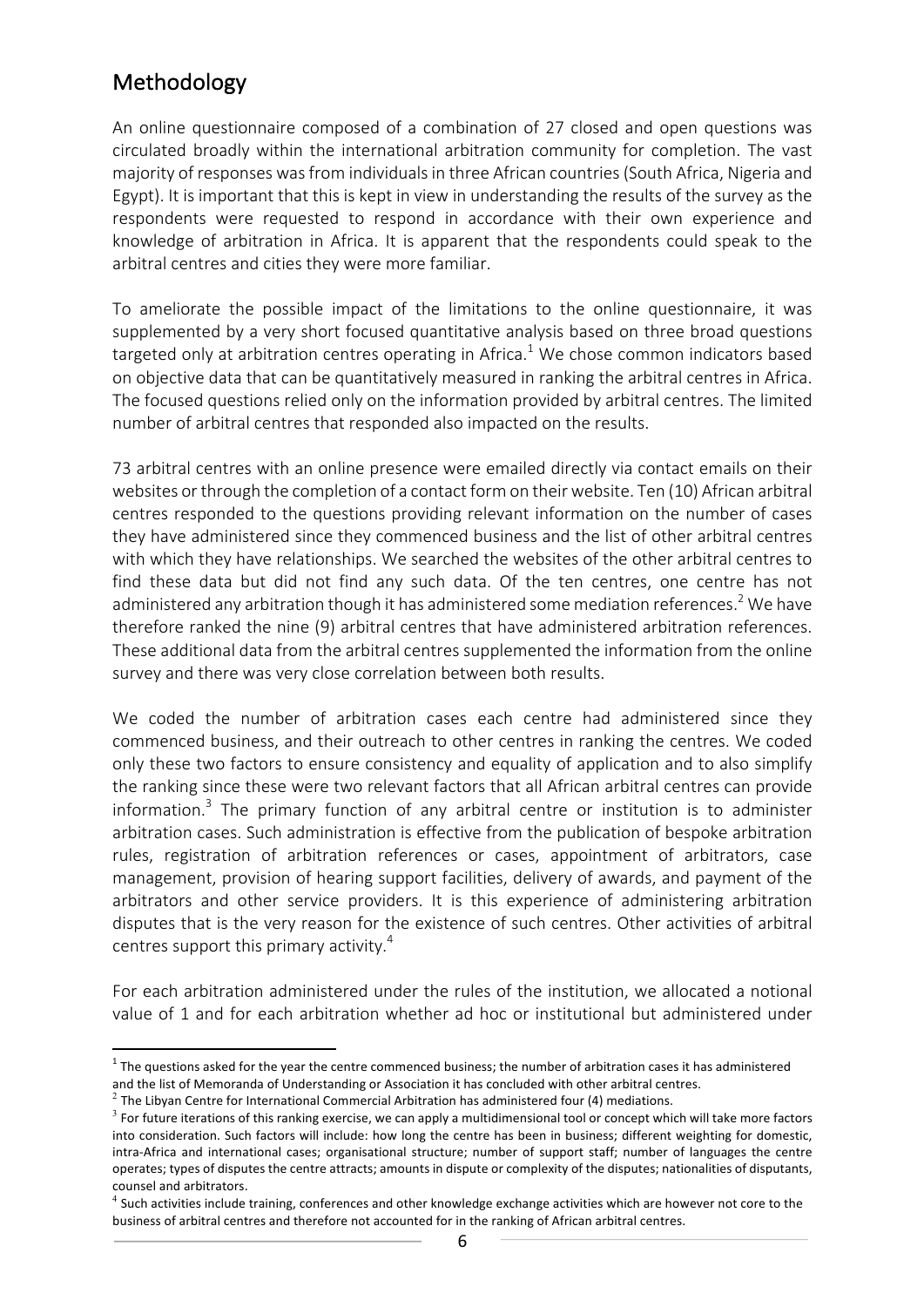## Methodology

An online questionnaire composed of a combination of 27 closed and open questions was circulated broadly within the international arbitration community for completion. The vast majority of responses was from individuals in three African countries (South Africa, Nigeria and Egypt). It is important that this is kept in view in understanding the results of the survey as the respondents were requested to respond in accordance with their own experience and knowledge of arbitration in Africa. It is apparent that the respondents could speak to the arbitral centres and cities they were more familiar.

To ameliorate the possible impact of the limitations to the online questionnaire, it was supplemented by a very short focused quantitative analysis based on three broad questions targeted only at arbitration centres operating in Africa.<sup>1</sup> We chose common indicators based on objective data that can be quantitatively measured in ranking the arbitral centres in Africa. The focused questions relied only on the information provided by arbitral centres. The limited number of arbitral centres that responded also impacted on the results.

73 arbitral centres with an online presence were emailed directly via contact emails on their websites or through the completion of a contact form on their website. Ten (10) African arbitral centres responded to the questions providing relevant information on the number of cases they have administered since they commenced business and the list of other arbitral centres with which they have relationships. We searched the websites of the other arbitral centres to find these data but did not find any such data. Of the ten centres, one centre has not administered any arbitration though it has administered some mediation references.<sup>2</sup> We have therefore ranked the nine (9) arbitral centres that have administered arbitration references. These additional data from the arbitral centres supplemented the information from the online survey and there was very close correlation between both results.

We coded the number of arbitration cases each centre had administered since they commenced business, and their outreach to other centres in ranking the centres. We coded only these two factors to ensure consistency and equality of application and to also simplify the ranking since these were two relevant factors that all African arbitral centres can provide information.<sup>3</sup> The primary function of any arbitral centre or institution is to administer arbitration cases. Such administration is effective from the publication of bespoke arbitration rules, registration of arbitration references or cases, appointment of arbitrators, case management, provision of hearing support facilities, delivery of awards, and payment of the arbitrators and other service providers. It is this experience of administering arbitration disputes that is the very reason for the existence of such centres. Other activities of arbitral centres support this primary activity.<sup>4</sup>

For each arbitration administered under the rules of the institution, we allocated a notional value of 1 and for each arbitration whether ad hoc or institutional but administered under

 $1$  The questions asked for the year the centre commenced business; the number of arbitration cases it has administered and the list of Memoranda of Understanding or Association it has concluded with other arbitral centres.

 $2$  The Libyan Centre for International Commercial Arbitration has administered four (4) mediations.

 $3$  For future iterations of this ranking exercise, we can apply a multidimensional tool or concept which will take more factors into consideration. Such factors will include: how long the centre has been in business; different weighting for domestic, intra-Africa and international cases; organisational structure; number of support staff; number of languages the centre operates; types of disputes the centre attracts; amounts in dispute or complexity of the disputes; nationalities of disputants, counsel and arbitrators.

 $4$  Such activities include training, conferences and other knowledge exchange activities which are however not core to the business of arbitral centres and therefore not accounted for in the ranking of African arbitral centres.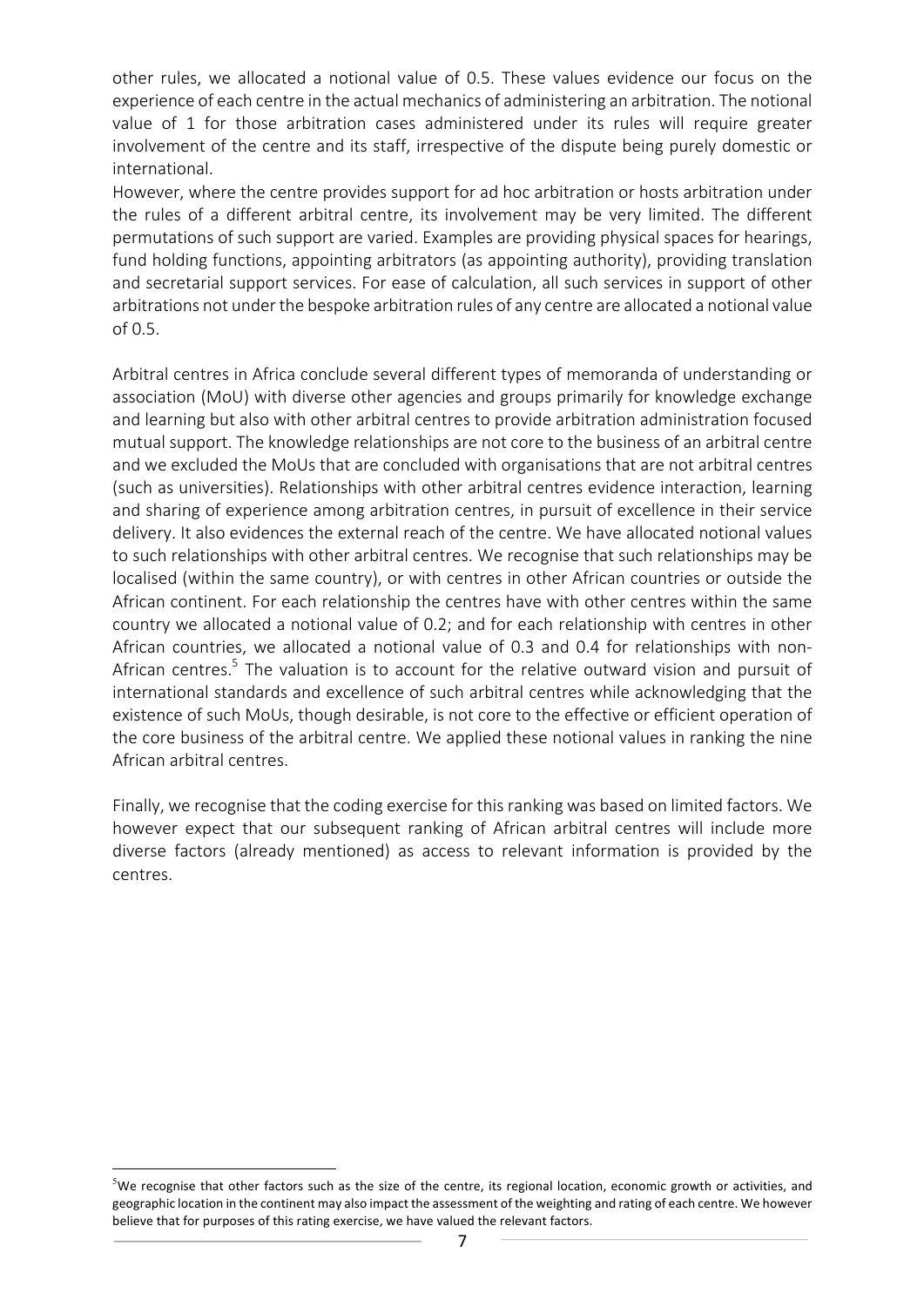other rules, we allocated a notional value of 0.5. These values evidence our focus on the experience of each centre in the actual mechanics of administering an arbitration. The notional value of 1 for those arbitration cases administered under its rules will require greater involvement of the centre and its staff, irrespective of the dispute being purely domestic or international.

However, where the centre provides support for ad hoc arbitration or hosts arbitration under the rules of a different arbitral centre, its involvement may be very limited. The different permutations of such support are varied. Examples are providing physical spaces for hearings, fund holding functions, appointing arbitrators (as appointing authority), providing translation and secretarial support services. For ease of calculation, all such services in support of other arbitrations not under the bespoke arbitration rules of any centre are allocated a notional value of 0.5.

Arbitral centres in Africa conclude several different types of memoranda of understanding or association (MoU) with diverse other agencies and groups primarily for knowledge exchange and learning but also with other arbitral centres to provide arbitration administration focused mutual support. The knowledge relationships are not core to the business of an arbitral centre and we excluded the MoUs that are concluded with organisations that are not arbitral centres (such as universities). Relationships with other arbitral centres evidence interaction, learning and sharing of experience among arbitration centres, in pursuit of excellence in their service delivery. It also evidences the external reach of the centre. We have allocated notional values to such relationships with other arbitral centres. We recognise that such relationships may be localised (within the same country), or with centres in other African countries or outside the African continent. For each relationship the centres have with other centres within the same country we allocated a notional value of 0.2; and for each relationship with centres in other African countries, we allocated a notional value of 0.3 and 0.4 for relationships with non-African centres.<sup>5</sup> The valuation is to account for the relative outward vision and pursuit of international standards and excellence of such arbitral centres while acknowledging that the existence of such MoUs, though desirable, is not core to the effective or efficient operation of the core business of the arbitral centre. We applied these notional values in ranking the nine African arbitral centres.

Finally, we recognise that the coding exercise for this ranking was based on limited factors. We however expect that our subsequent ranking of African arbitral centres will include more diverse factors (already mentioned) as access to relevant information is provided by the centres.

 $\frac{5}{100}$  we recognise that other factors such as the size of the centre, its regional location, economic growth or activities, and geographic location in the continent may also impact the assessment of the weighting and rating of each centre. We however believe that for purposes of this rating exercise, we have valued the relevant factors.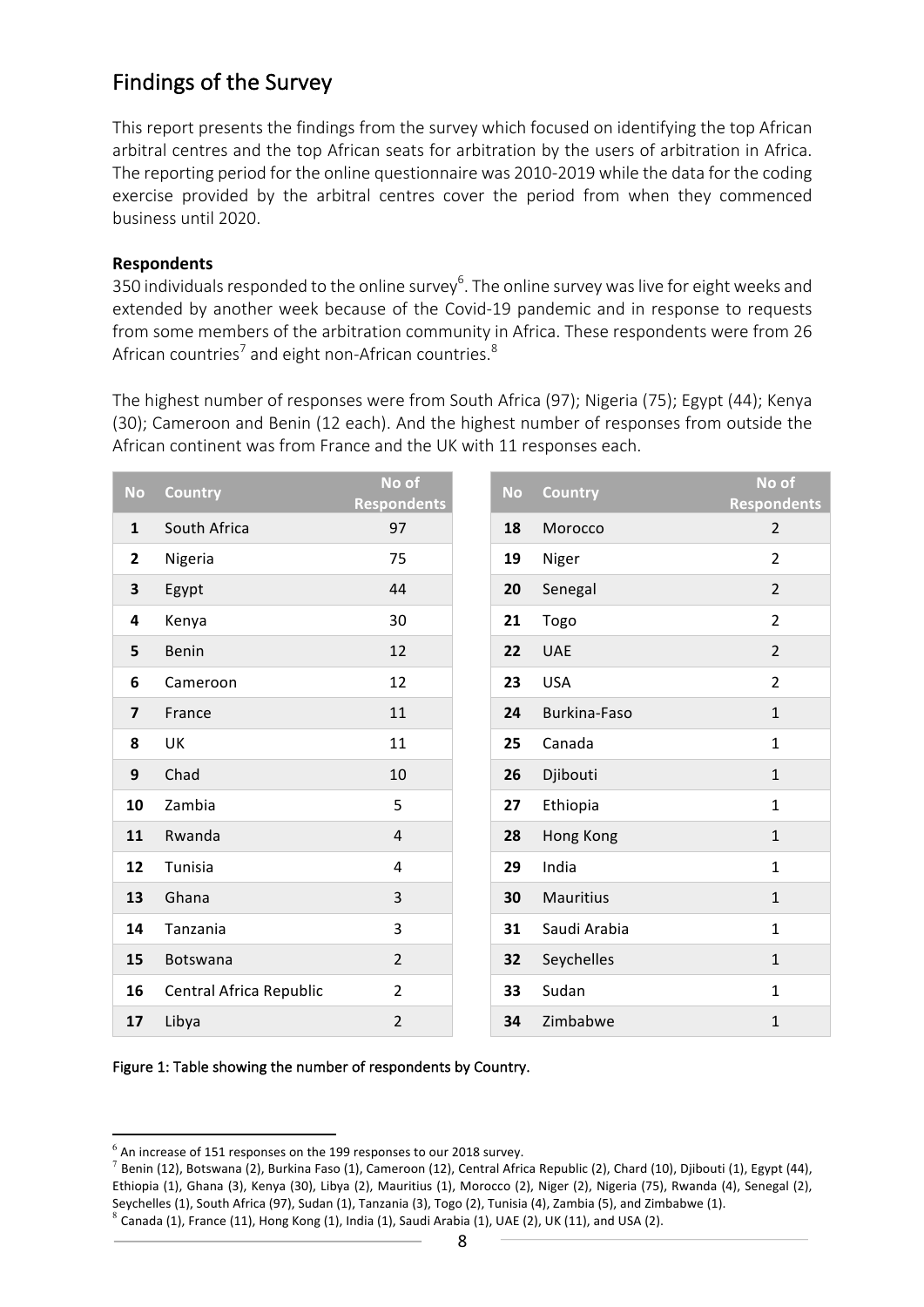## Findings of the Survey

This report presents the findings from the survey which focused on identifying the top African arbitral centres and the top African seats for arbitration by the users of arbitration in Africa. The reporting period for the online questionnaire was 2010-2019 while the data for the coding exercise provided by the arbitral centres cover the period from when they commenced business until 2020.

#### **Respondents**

350 individuals responded to the online survey<sup>6</sup>. The online survey was live for eight weeks and extended by another week because of the Covid-19 pandemic and in response to requests from some members of the arbitration community in Africa. These respondents were from 26 African countries<sup>7</sup> and eight non-African countries.<sup>8</sup>

The highest number of responses were from South Africa (97); Nigeria (75); Egypt (44); Kenya (30); Cameroon and Benin (12 each). And the highest number of responses from outside the African continent was from France and the UK with 11 responses each.

| <b>No</b>               | <b>Country</b>          | No of<br><b>Respondents</b> | <b>No</b> | <b>Country</b>      | No of<br><b>Respondents</b> |
|-------------------------|-------------------------|-----------------------------|-----------|---------------------|-----------------------------|
| $\mathbf{1}$            | South Africa            | 97                          | 18        | Morocco             | $\overline{2}$              |
| $\mathbf{2}$            | Nigeria                 | 75                          | 19        | Niger               | $\overline{2}$              |
| 3                       | Egypt                   | 44                          | 20        | Senegal             | $\overline{2}$              |
| 4                       | Kenya                   | 30                          | 21        | Togo                | $\overline{2}$              |
| 5                       | Benin                   | 12                          | 22        | <b>UAE</b>          | $\overline{2}$              |
| 6                       | Cameroon                | 12                          | 23        | <b>USA</b>          | $\overline{2}$              |
| $\overline{\mathbf{z}}$ | France                  | 11                          | 24        | <b>Burkina-Faso</b> | $\mathbf{1}$                |
| 8                       | UK                      | 11                          | 25        | Canada              | $\mathbf{1}$                |
| 9                       | Chad                    | 10                          | 26        | Djibouti            | $\mathbf{1}$                |
| 10                      | Zambia                  | 5                           | 27        | Ethiopia            | $\mathbf{1}$                |
| 11                      | Rwanda                  | 4                           | 28        | Hong Kong           | $\mathbf{1}$                |
| 12                      | Tunisia                 | 4                           | 29        | India               | $\mathbf{1}$                |
| 13                      | Ghana                   | 3                           | 30        | <b>Mauritius</b>    | $\mathbf{1}$                |
| 14                      | Tanzania                | 3                           | 31        | Saudi Arabia        | $\mathbf{1}$                |
| 15                      | <b>Botswana</b>         | $\overline{2}$              | 32        | Seychelles          | $\mathbf{1}$                |
| 16                      | Central Africa Republic | $\overline{2}$              | 33        | Sudan               | $\mathbf{1}$                |
| 17                      | Libya                   | $\overline{2}$              | 34        | Zimbabwe            | $\mathbf{1}$                |

Figure 1: Table showing the number of respondents by Country.

 $^6$  An increase of 151 responses on the 199 responses to our 2018 survey.

 $^7$  Benin (12), Botswana (2), Burkina Faso (1), Cameroon (12), Central Africa Republic (2), Chard (10), Djibouti (1), Egypt (44), Ethiopia (1), Ghana (3), Kenya (30), Libya (2), Mauritius (1), Morocco (2), Niger (2), Nigeria (75), Rwanda (4), Senegal (2), Seychelles (1), South Africa (97), Sudan (1), Tanzania (3), Togo (2), Tunisia (4), Zambia (5), and Zimbabwe (1). Canada (1), France (11), Hong Kong (1), India (1), Saudi Arabia (1), UAE (2), UK (11), and USA (2).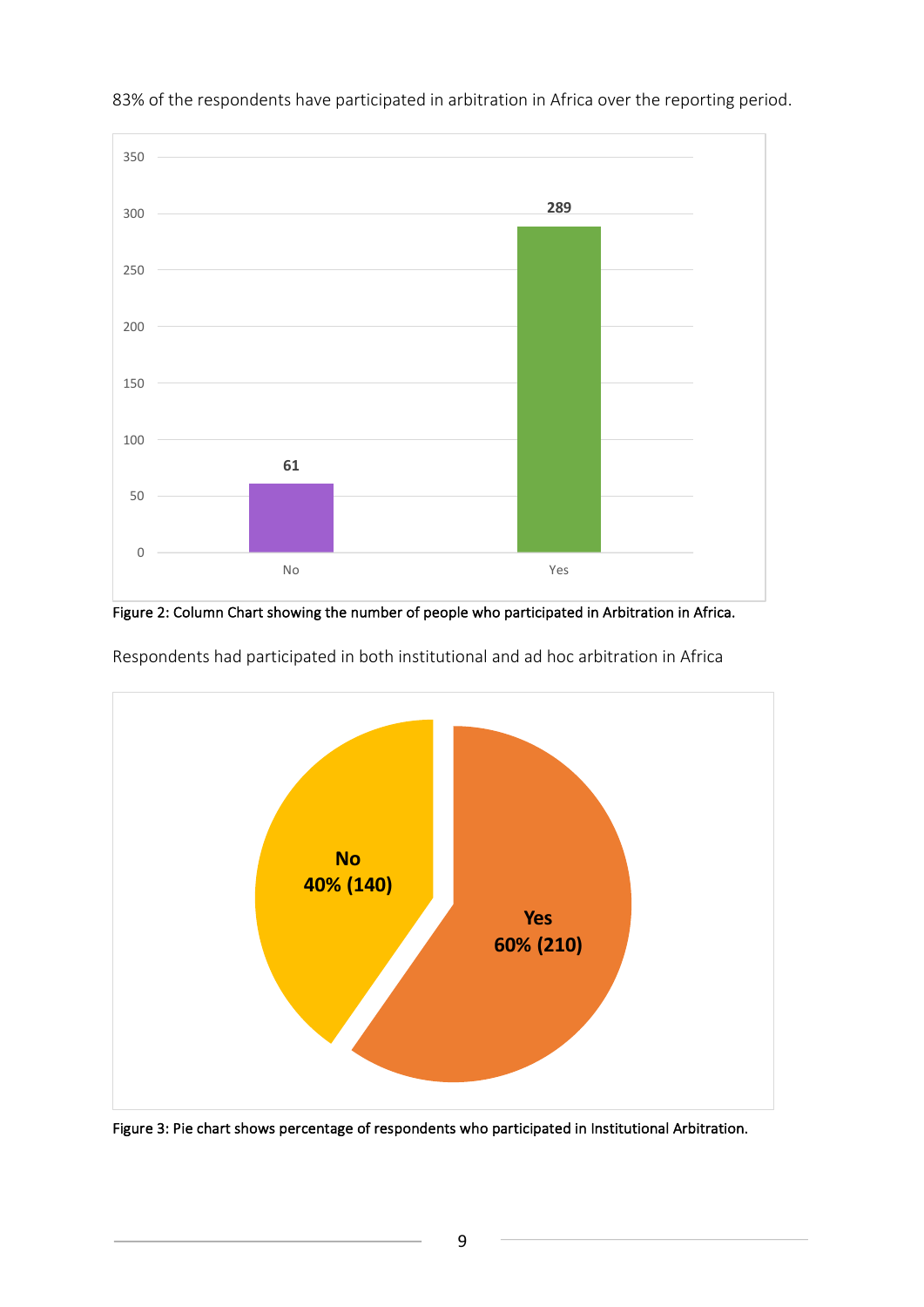

83% of the respondents have participated in arbitration in Africa over the reporting period.

Figure 2: Column Chart showing the number of people who participated in Arbitration in Africa.



Respondents had participated in both institutional and ad hoc arbitration in Africa

Figure 3: Pie chart shows percentage of respondents who participated in Institutional Arbitration.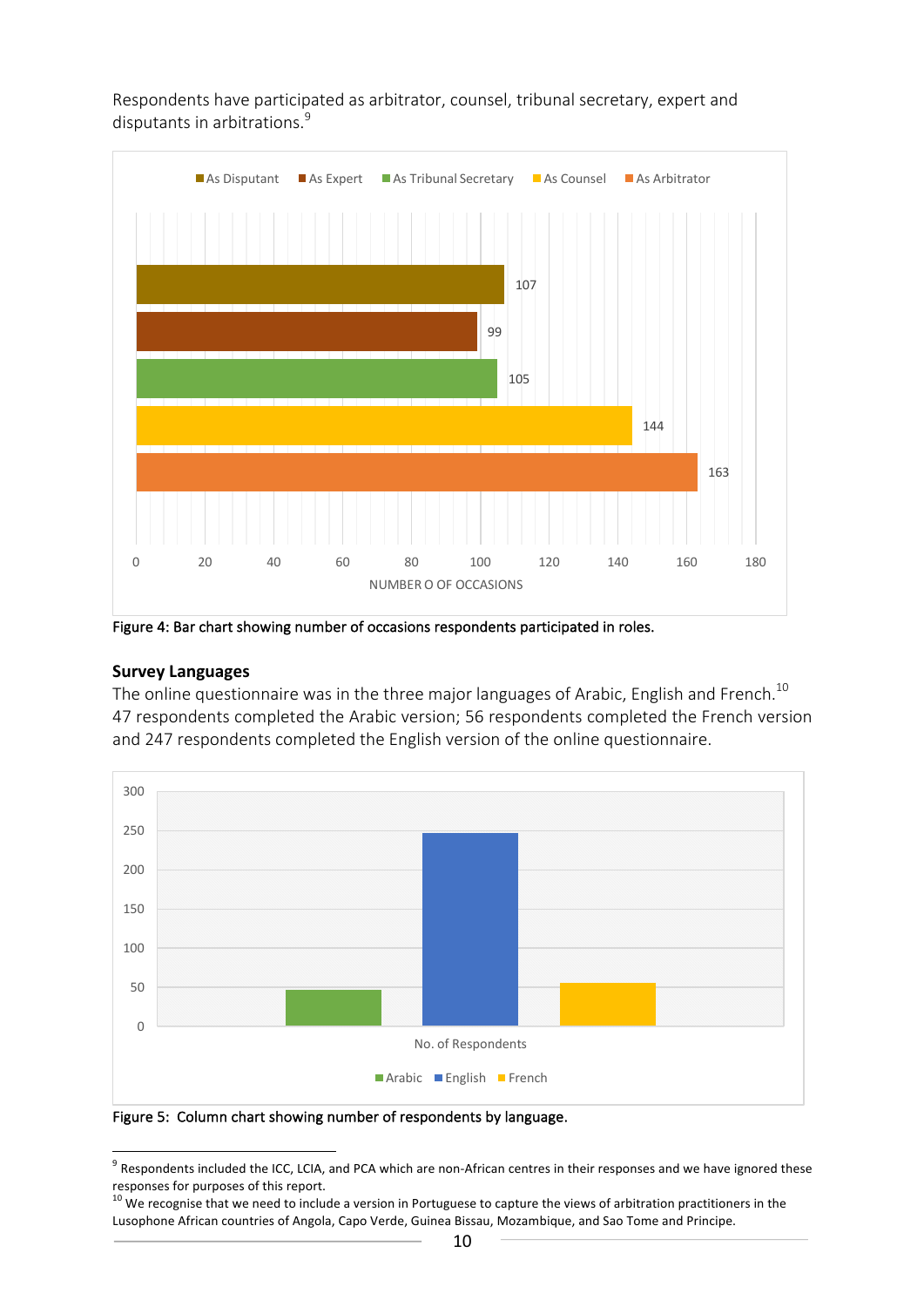

Respondents have participated as arbitrator, counsel, tribunal secretary, expert and disputants in arbitrations.<sup>9</sup>

Figure 4: Bar chart showing number of occasions respondents participated in roles.

#### **Survey Languages**

The online questionnaire was in the three major languages of Arabic, English and French.<sup>10</sup> 47 respondents completed the Arabic version; 56 respondents completed the French version and 247 respondents completed the English version of the online questionnaire.



Figure 5: Column chart showing number of respondents by language.

 $9$  Respondents included the ICC, LCIA, and PCA which are non-African centres in their responses and we have ignored these responses for purposes of this report.

 $10$  We recognise that we need to include a version in Portuguese to capture the views of arbitration practitioners in the Lusophone African countries of Angola, Capo Verde, Guinea Bissau, Mozambique, and Sao Tome and Principe.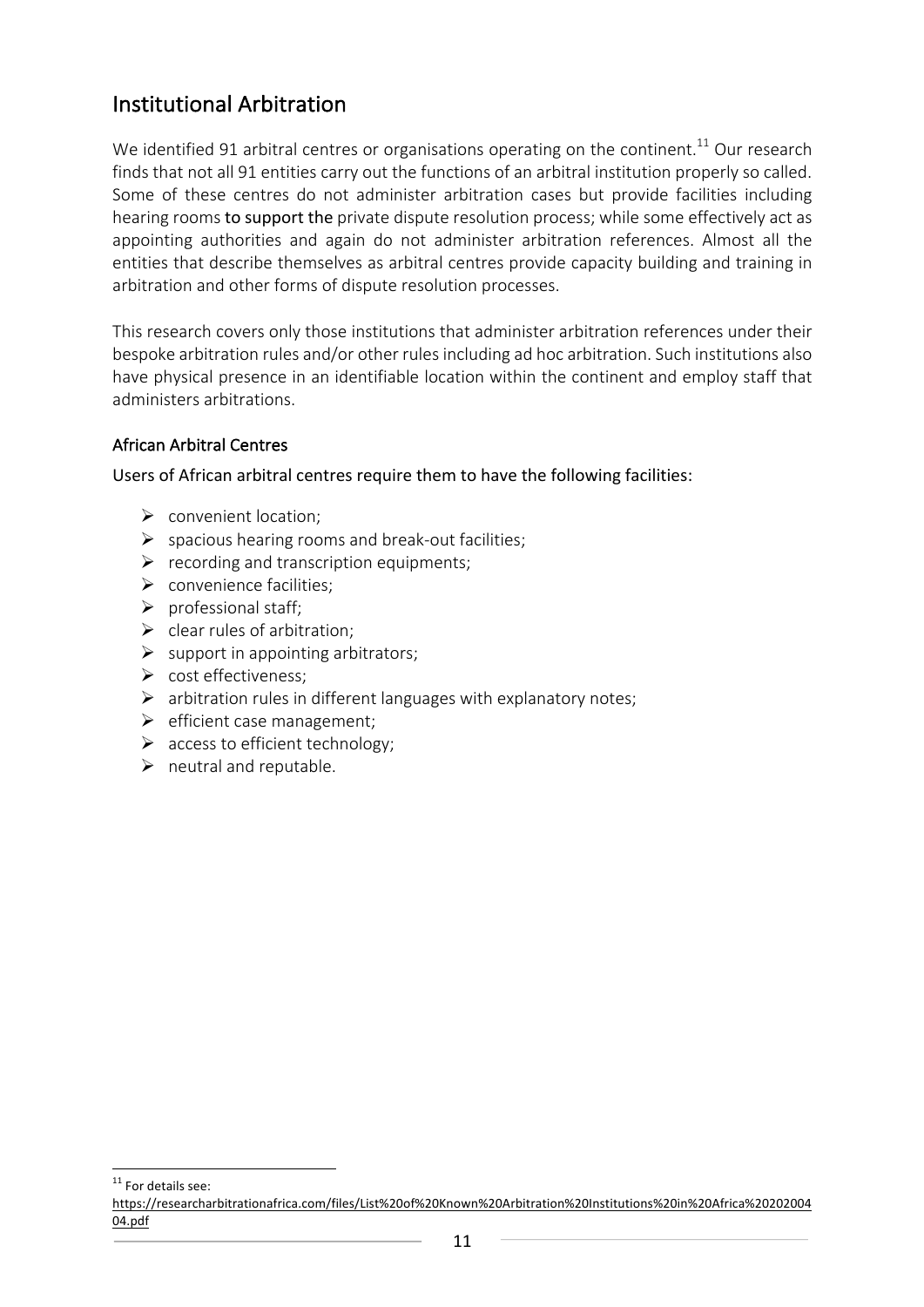## Institutional Arbitration

We identified 91 arbitral centres or organisations operating on the continent.<sup>11</sup> Our research finds that not all 91 entities carry out the functions of an arbitral institution properly so called. Some of these centres do not administer arbitration cases but provide facilities including hearing rooms to support the private dispute resolution process; while some effectively act as appointing authorities and again do not administer arbitration references. Almost all the entities that describe themselves as arbitral centres provide capacity building and training in arbitration and other forms of dispute resolution processes.

This research covers only those institutions that administer arbitration references under their bespoke arbitration rules and/or other rules including ad hoc arbitration. Such institutions also have physical presence in an identifiable location within the continent and employ staff that administers arbitrations.

#### African Arbitral Centres

Users of African arbitral centres require them to have the following facilities:

- $\triangleright$  convenient location;
- $\triangleright$  spacious hearing rooms and break-out facilities;
- $\triangleright$  recording and transcription equipments;
- $\triangleright$  convenience facilities;
- $\triangleright$  professional staff;
- $\triangleright$  clear rules of arbitration;
- $\triangleright$  support in appointing arbitrators;
- $\triangleright$  cost effectiveness;
- $\triangleright$  arbitration rules in different languages with explanatory notes;
- $\triangleright$  efficient case management;
- $\triangleright$  access to efficient technology;
- $\triangleright$  neutral and reputable.

<sup>11</sup> For details see:

https://researcharbitrationafrica.com/files/List%20of%20Known%20Arbitration%20Institutions%20in%20Africa%20202004 04.pdf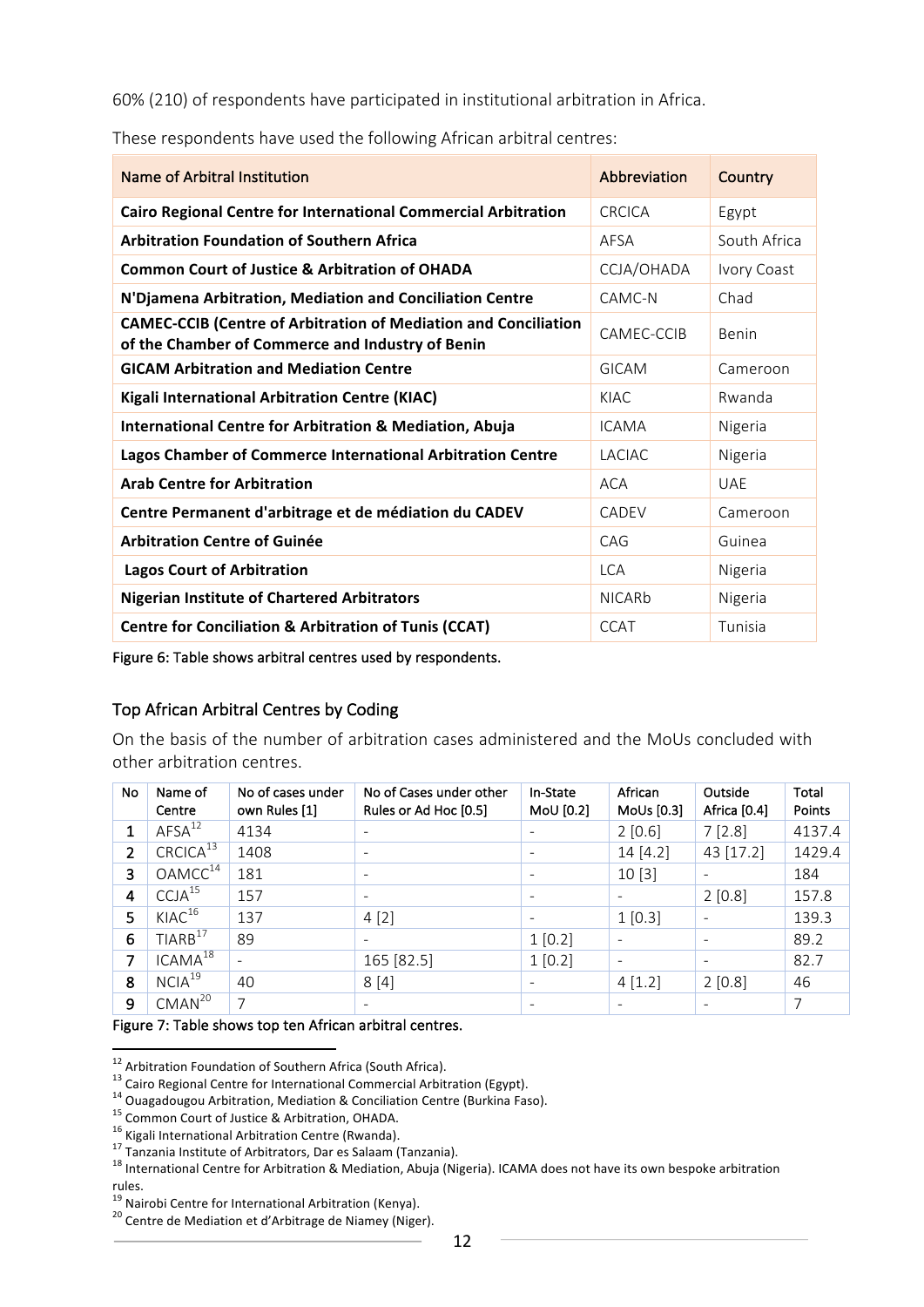60% (210) of respondents have participated in institutional arbitration in Africa.

| Name of Arbitral Institution                                                                                               | Abbreviation  | <b>Country</b> |
|----------------------------------------------------------------------------------------------------------------------------|---------------|----------------|
| Cairo Regional Centre for International Commercial Arbitration                                                             | CRCICA        | Egypt          |
| <b>Arbitration Foundation of Southern Africa</b>                                                                           | AFSA          | South Africa   |
| <b>Common Court of Justice &amp; Arbitration of OHADA</b>                                                                  | CCJA/OHADA    | Ivory Coast    |
| N'Djamena Arbitration, Mediation and Conciliation Centre                                                                   | CAMC-N        | Chad           |
| <b>CAMEC-CCIB (Centre of Arbitration of Mediation and Conciliation</b><br>of the Chamber of Commerce and Industry of Benin | CAMEC-CCIB    | Benin          |
| <b>GICAM Arbitration and Mediation Centre</b>                                                                              | GICAM         | Cameroon       |
| <b>Kigali International Arbitration Centre (KIAC)</b>                                                                      | KIAC          | Rwanda         |
| <b>International Centre for Arbitration &amp; Mediation, Abuja</b>                                                         | <b>ICAMA</b>  | Nigeria        |
| Lagos Chamber of Commerce International Arbitration Centre                                                                 | <b>LACIAC</b> | Nigeria        |
| <b>Arab Centre for Arbitration</b>                                                                                         | <b>ACA</b>    | <b>UAF</b>     |
| Centre Permanent d'arbitrage et de médiation du CADEV                                                                      | CADEV         | Cameroon       |
| <b>Arbitration Centre of Guinée</b>                                                                                        | CAG           | Guinea         |
| <b>Lagos Court of Arbitration</b>                                                                                          | <b>LCA</b>    | Nigeria        |
| <b>Nigerian Institute of Chartered Arbitrators</b>                                                                         | <b>NICARb</b> | Nigeria        |
| <b>Centre for Conciliation &amp; Arbitration of Tunis (CCAT)</b>                                                           | CCAT          | Tunisia        |

These respondents have used the following African arbitral centres:

Figure 6: Table shows arbitral centres used by respondents.

#### Top African Arbitral Centres by Coding

On the basis of the number of arbitration cases administered and the MoUs concluded with other arbitration centres.

| No             | Name of<br>Centre    | No of cases under<br>own Rules [1] | No of Cases under other<br>Rules or Ad Hoc [0.5] | In-State<br>MoU $[0.2]$  | African<br>MoUs [0.3]    | Outside<br>Africa [0.4] | Total<br>Points |
|----------------|----------------------|------------------------------------|--------------------------------------------------|--------------------------|--------------------------|-------------------------|-----------------|
| 1              | AFSA <sup>12</sup>   | 4134                               | ۰                                                | $\overline{\phantom{a}}$ | 2[0.6]                   | 7 [2.8]                 | 4137.4          |
| $\overline{2}$ | CRCICA <sup>13</sup> | 1408                               | $\overline{\phantom{a}}$                         | $\overline{\phantom{a}}$ | 14[4.2]                  | 43 [17.2]               | 1429.4          |
| 3              | OAMCC <sup>14</sup>  | 181                                | $\overline{\phantom{a}}$                         | $\overline{\phantom{a}}$ | 10[3]                    | ۰                       | 184             |
| $\overline{4}$ | CCJA <sup>15</sup>   | 157                                | $\overline{\phantom{a}}$                         | $\overline{\phantom{a}}$ | $\overline{\phantom{a}}$ | 2 [0.8]                 | 157.8           |
| 5              | KIAC <sup>16</sup>   | 137                                | 4[2]                                             | $\overline{\phantom{a}}$ | 1 [0.3]                  |                         | 139.3           |
| 6              | TIARB <sup>17</sup>  | 89                                 | $\overline{\phantom{0}}$                         | 1[0.2]                   | $\overline{\phantom{a}}$ | ٠                       | 89.2            |
| 7              | $ICAMA^{18}$         | $\overline{\phantom{a}}$           | 165 [82.5]                                       | 1 [0.2]                  | $\overline{\phantom{a}}$ | -                       | 82.7            |
| 8              | NCIA <sup>19</sup>   | 40                                 | 8[4]                                             | $\overline{\phantom{a}}$ | 4 [1.2]                  | 2 [0.8]                 | 46              |
| 9              | CMAN <sup>20</sup>   | 7                                  |                                                  | $\overline{\phantom{a}}$ | $\overline{\phantom{a}}$ |                         | 7               |

#### Figure 7: Table shows top ten African arbitral centres.

<sup>&</sup>lt;sup>12</sup> Arbitration Foundation of Southern Africa (South Africa).<br>
<sup>13</sup> Cairo Regional Centre for International Commercial Arbitration (Egypt).<br>
<sup>14</sup> Ouagadougou Arbitration, Mediation & Conciliation Centre (Burkina Faso).<br> rules.<br><sup>19</sup> Nairobi Centre for International Arbitration (Kenya).

 $10^{20}$  Centre de Mediation et d'Arbitrage de Niamey (Niger).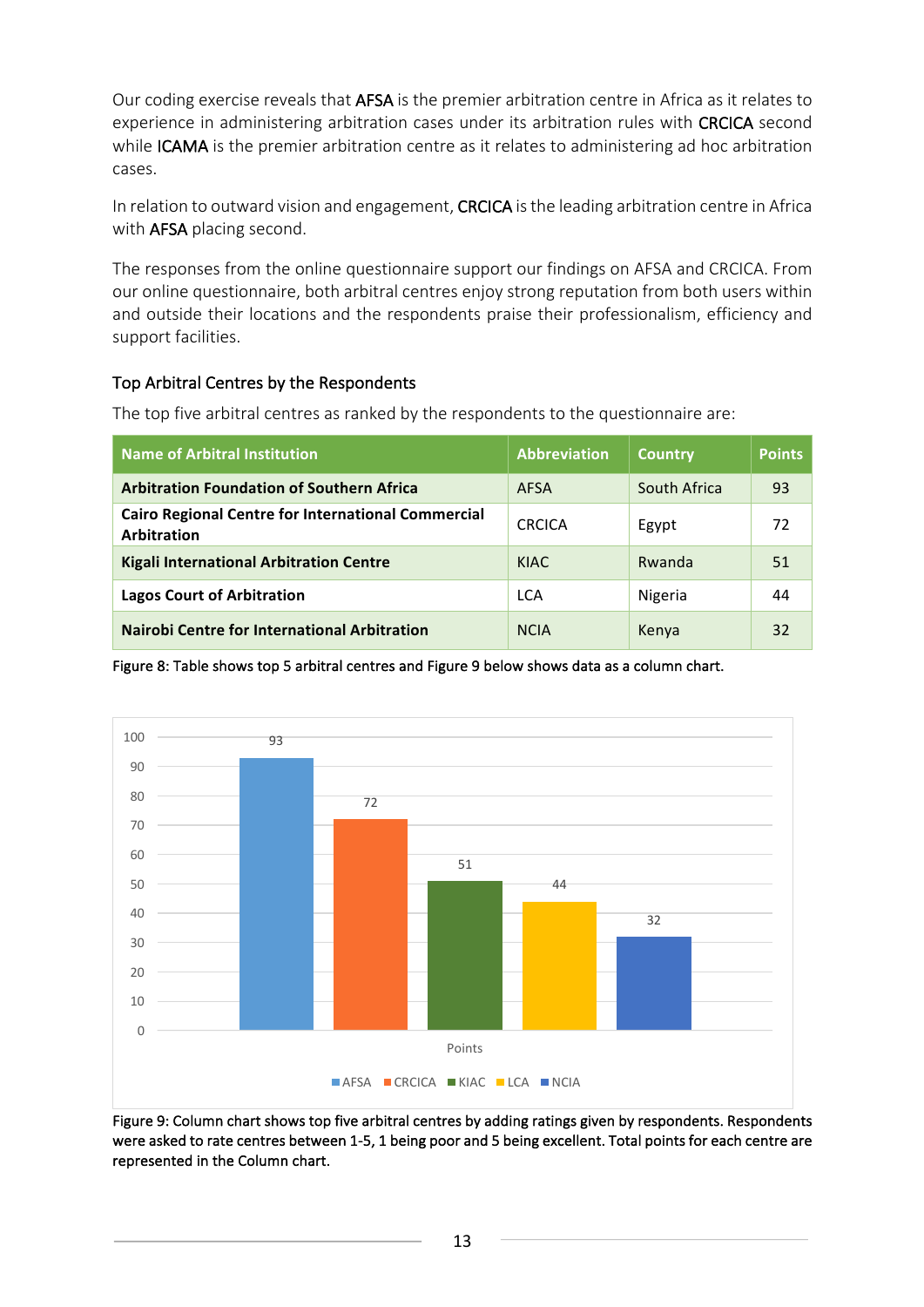Our coding exercise reveals that AFSA is the premier arbitration centre in Africa as it relates to experience in administering arbitration cases under its arbitration rules with CRCICA second while ICAMA is the premier arbitration centre as it relates to administering ad hoc arbitration cases.

In relation to outward vision and engagement, CRCICA is the leading arbitration centre in Africa with AFSA placing second.

The responses from the online questionnaire support our findings on AFSA and CRCICA. From our online questionnaire, both arbitral centres enjoy strong reputation from both users within and outside their locations and the respondents praise their professionalism, efficiency and support facilities.

### Top Arbitral Centres by the Respondents

The top five arbitral centres as ranked by the respondents to the questionnaire are:

| <b>Name of Arbitral Institution</b>                                             | <b>Abbreviation</b> | <b>Country</b> | <b>Points</b> |
|---------------------------------------------------------------------------------|---------------------|----------------|---------------|
| <b>Arbitration Foundation of Southern Africa</b>                                | <b>AFSA</b>         | South Africa   | 93            |
| <b>Cairo Regional Centre for International Commercial</b><br><b>Arbitration</b> | <b>CRCICA</b>       | Egypt          | 72            |
| <b>Kigali International Arbitration Centre</b>                                  | KIAC                | Rwanda         | 51            |
| <b>Lagos Court of Arbitration</b>                                               | <b>LCA</b>          | Nigeria        | 44            |
| <b>Nairobi Centre for International Arbitration</b>                             | <b>NCIA</b>         | Kenya          | 32            |

Figure 8: Table shows top 5 arbitral centres and Figure 9 below shows data as a column chart.



Figure 9: Column chart shows top five arbitral centres by adding ratings given by respondents. Respondents were asked to rate centres between 1-5, 1 being poor and 5 being excellent. Total points for each centre are represented in the Column chart.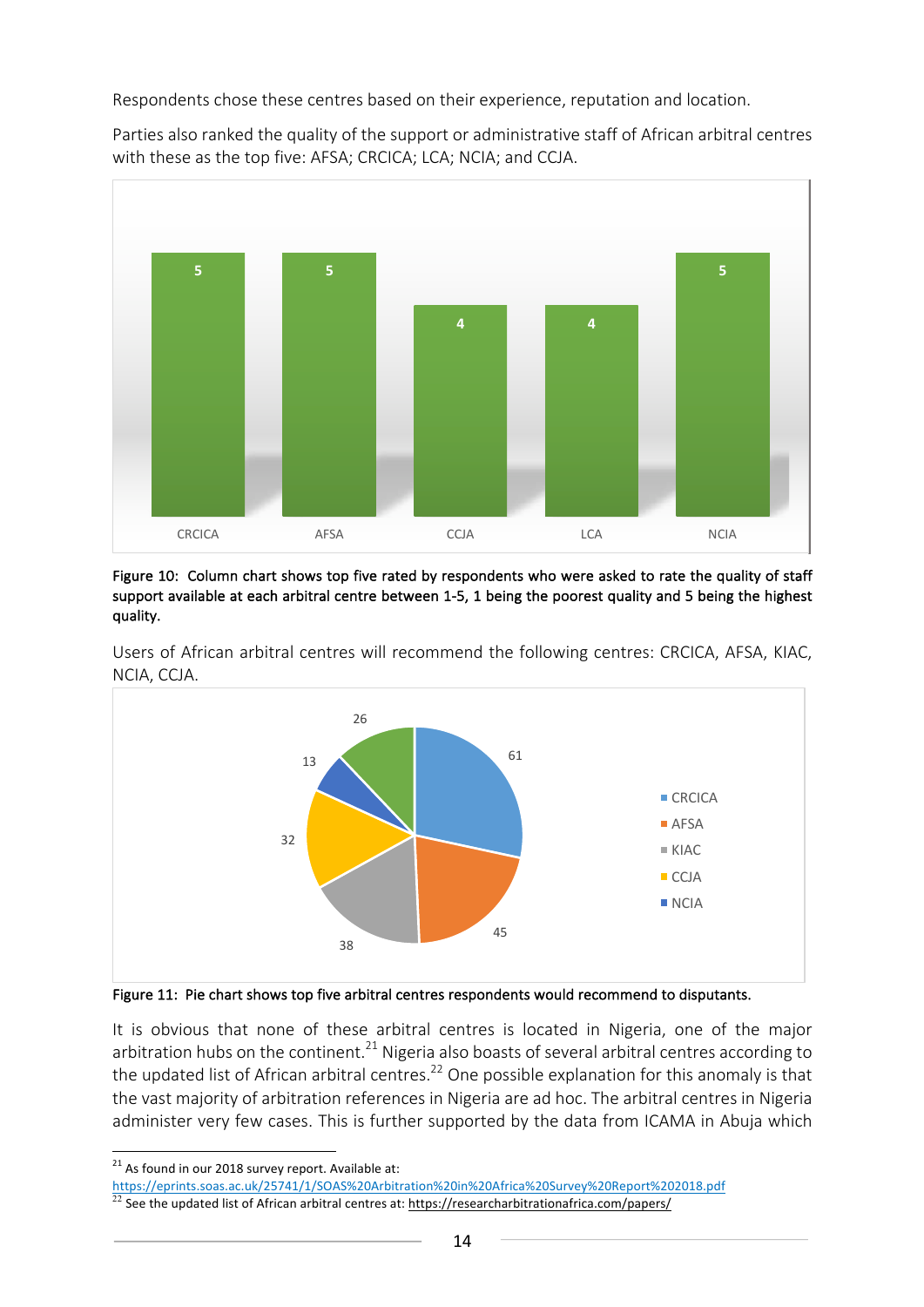Respondents chose these centres based on their experience, reputation and location.

Parties also ranked the quality of the support or administrative staff of African arbitral centres with these as the top five: AFSA; CRCICA; LCA; NCIA; and CCJA.



Figure 10: Column chart shows top five rated by respondents who were asked to rate the quality of staff support available at each arbitral centre between 1-5, 1 being the poorest quality and 5 being the highest quality. 



Users of African arbitral centres will recommend the following centres: CRCICA, AFSA, KIAC, NCIA, CCJA.



It is obvious that none of these arbitral centres is located in Nigeria, one of the major arbitration hubs on the continent.<sup>21</sup> Nigeria also boasts of several arbitral centres according to the updated list of African arbitral centres.<sup>22</sup> One possible explanation for this anomaly is that the vast majority of arbitration references in Nigeria are ad hoc. The arbitral centres in Nigeria administer very few cases. This is further supported by the data from ICAMA in Abuja which

https://eprints.soas.ac.uk/25741/1/SOAS%20Arbitration%20in%20Africa%20Survey%20Report%202018.pdf

 $21$  As found in our 2018 survey report. Available at:

<sup>22</sup> See the updated list of African arbitral centres at: https://researcharbitrationafrica.com/papers/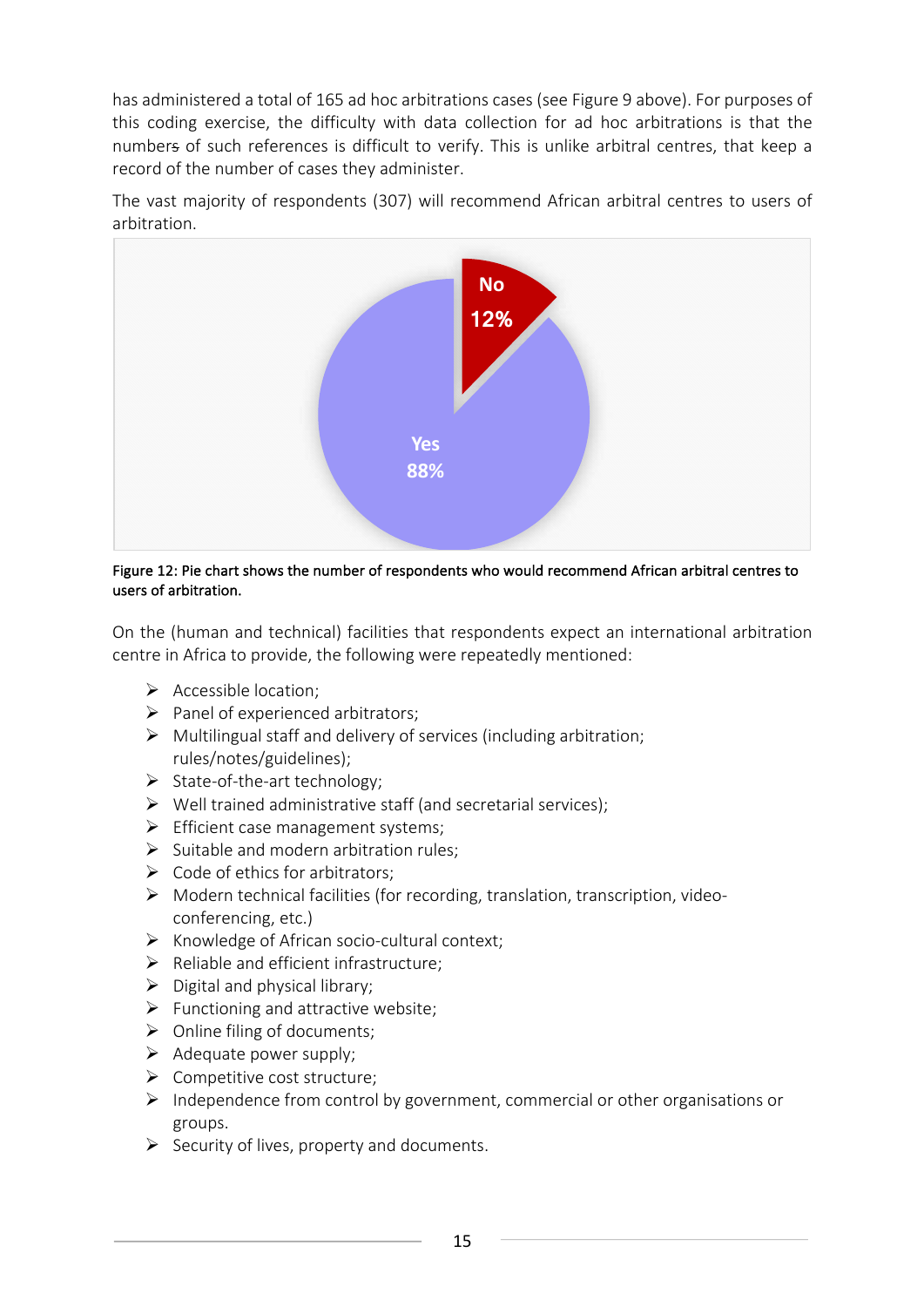has administered a total of 165 ad hoc arbitrations cases (see Figure 9 above). For purposes of this coding exercise, the difficulty with data collection for ad hoc arbitrations is that the numbers of such references is difficult to verify. This is unlike arbitral centres, that keep a record of the number of cases they administer.

The vast majority of respondents (307) will recommend African arbitral centres to users of arbitration.



Figure 12: Pie chart shows the number of respondents who would recommend African arbitral centres to users of arbitration.

On the (human and technical) facilities that respondents expect an international arbitration centre in Africa to provide, the following were repeatedly mentioned:

- $\triangleright$  Accessible location;
- $\triangleright$  Panel of experienced arbitrators;
- $\triangleright$  Multilingual staff and delivery of services (including arbitration; rules/notes/guidelines);
- $\triangleright$  State-of-the-art technology;
- $\triangleright$  Well trained administrative staff (and secretarial services);
- $\triangleright$  Efficient case management systems;
- $\triangleright$  Suitable and modern arbitration rules:
- $\triangleright$  Code of ethics for arbitrators;
- $\triangleright$  Modern technical facilities (for recording, translation, transcription, videoconferencing, etc.)
- $\triangleright$  Knowledge of African socio-cultural context;
- $\triangleright$  Reliable and efficient infrastructure;
- $\triangleright$  Digital and physical library;
- $\triangleright$  Functioning and attractive website;
- $\triangleright$  Online filing of documents;
- $\triangleright$  Adequate power supply;
- $\triangleright$  Competitive cost structure;
- $\triangleright$  Independence from control by government, commercial or other organisations or groups.
- $\triangleright$  Security of lives, property and documents.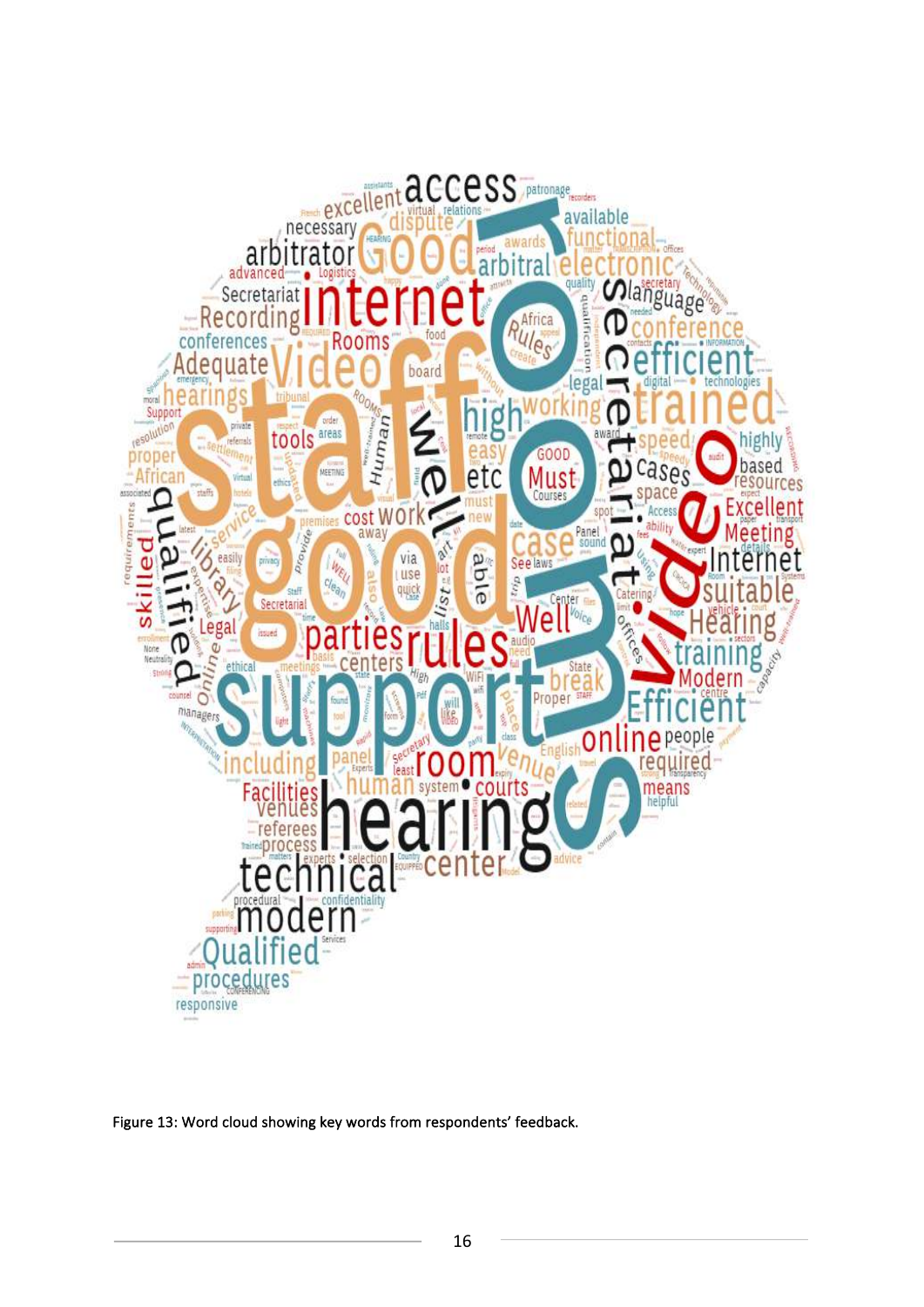

Figure 13: Word cloud showing key words from respondents' feedback.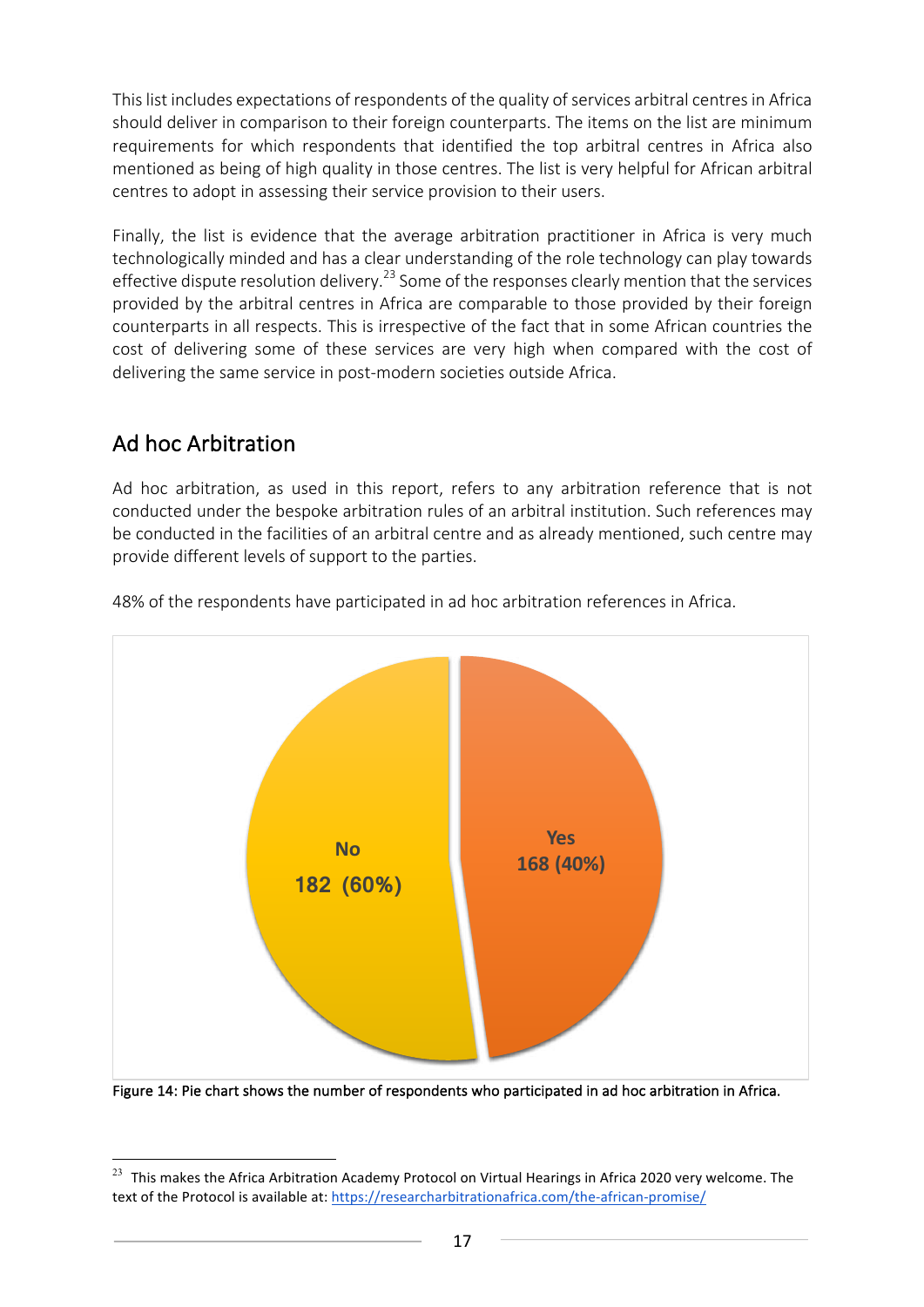This list includes expectations of respondents of the quality of services arbitral centres in Africa should deliver in comparison to their foreign counterparts. The items on the list are minimum requirements for which respondents that identified the top arbitral centres in Africa also mentioned as being of high quality in those centres. The list is very helpful for African arbitral centres to adopt in assessing their service provision to their users.

Finally, the list is evidence that the average arbitration practitioner in Africa is very much technologically minded and has a clear understanding of the role technology can play towards effective dispute resolution delivery.<sup>23</sup> Some of the responses clearly mention that the services provided by the arbitral centres in Africa are comparable to those provided by their foreign counterparts in all respects. This is irrespective of the fact that in some African countries the cost of delivering some of these services are very high when compared with the cost of delivering the same service in post-modern societies outside Africa.

## Ad hoc Arbitration

 

Ad hoc arbitration, as used in this report, refers to any arbitration reference that is not conducted under the bespoke arbitration rules of an arbitral institution. Such references may be conducted in the facilities of an arbitral centre and as already mentioned, such centre may provide different levels of support to the parties.



48% of the respondents have participated in ad hoc arbitration references in Africa.

Figure 14: Pie chart shows the number of respondents who participated in ad hoc arbitration in Africa.

 $^{23}$  This makes the Africa Arbitration Academy Protocol on Virtual Hearings in Africa 2020 very welcome. The text of the Protocol is available at: https://researcharbitrationafrica.com/the-african-promise/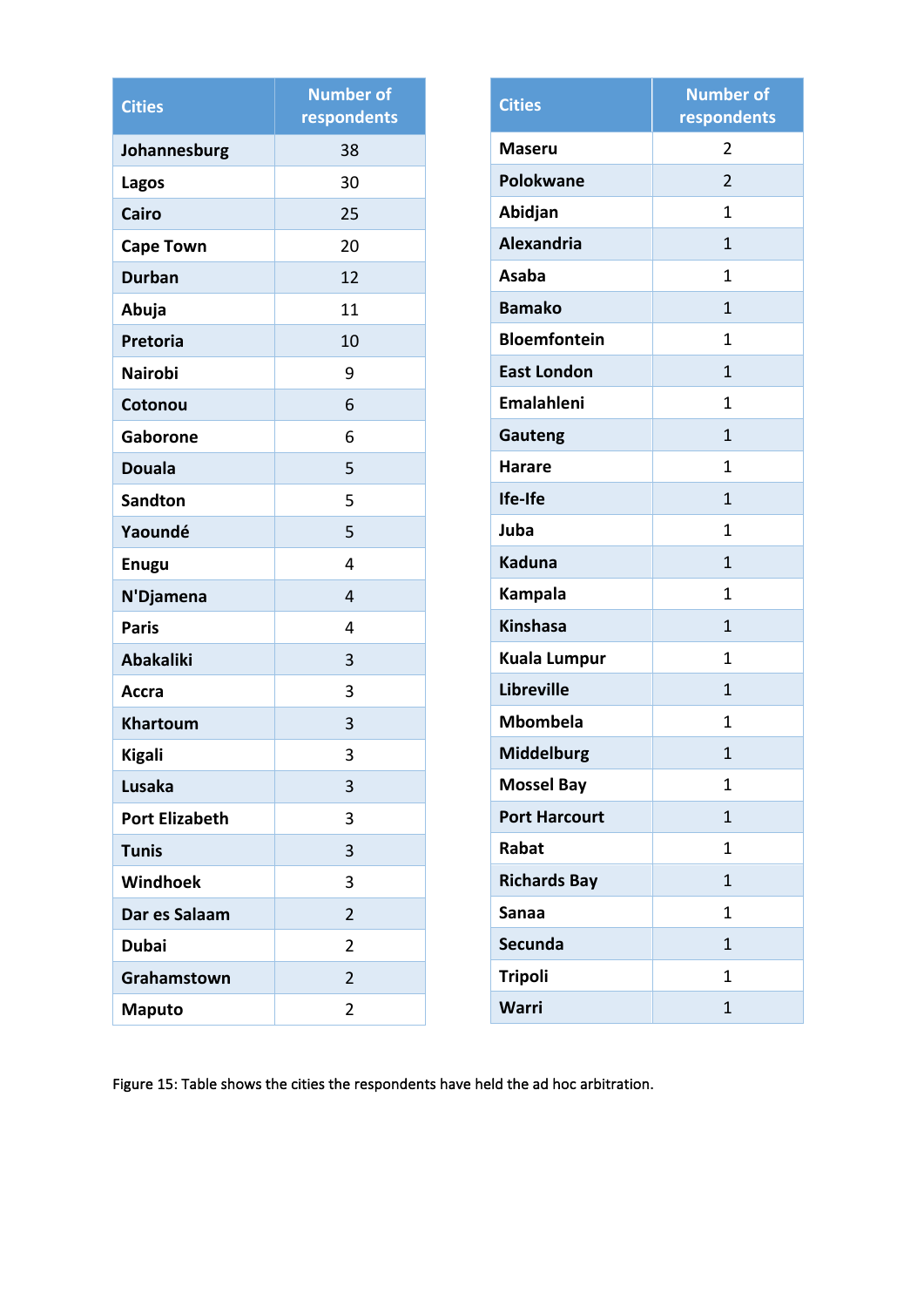| <b>Cities</b>         | <b>Number of</b><br>respondents |  |  |
|-----------------------|---------------------------------|--|--|
| Johannesburg          | 38                              |  |  |
| Lagos                 | 30                              |  |  |
| Cairo                 | 25                              |  |  |
| <b>Cape Town</b>      | 20                              |  |  |
| <b>Durban</b>         | 12                              |  |  |
| Abuja                 | 11                              |  |  |
| <b>Pretoria</b>       | 10                              |  |  |
| <b>Nairobi</b>        | 9                               |  |  |
| Cotonou               | 6                               |  |  |
| Gaborone              | 6                               |  |  |
| <b>Douala</b>         | 5                               |  |  |
| <b>Sandton</b>        | 5                               |  |  |
| Yaoundé               | 5                               |  |  |
| <b>Enugu</b>          | 4                               |  |  |
| N'Djamena             | 4                               |  |  |
| <b>Paris</b>          | 4                               |  |  |
| <b>Abakaliki</b>      | 3                               |  |  |
| <b>Accra</b>          | 3                               |  |  |
| <b>Khartoum</b>       | 3                               |  |  |
| <b>Kigali</b>         | 3                               |  |  |
| <b>Lusaka</b>         | 3                               |  |  |
| <b>Port Elizabeth</b> | 3                               |  |  |
| <b>Tunis</b>          | 3                               |  |  |
| Windhoek              | 3                               |  |  |
| Dar es Salaam         | 2                               |  |  |
| <b>Dubai</b>          | $\overline{2}$                  |  |  |
| Grahamstown           | $\overline{2}$                  |  |  |
| <b>Maputo</b>         | 2                               |  |  |

| <b>Cities</b>        | <b>Number of</b><br>respondents |
|----------------------|---------------------------------|
| Maseru               | 2                               |
| <b>Polokwane</b>     | $\overline{2}$                  |
| Abidjan              | 1                               |
| <b>Alexandria</b>    | $\mathbf{1}$                    |
| <b>Asaba</b>         | 1                               |
| <b>Bamako</b>        | 1                               |
| <b>Bloemfontein</b>  | $\mathbf{1}$                    |
| <b>East London</b>   | 1                               |
| <b>Emalahleni</b>    | 1                               |
| <b>Gauteng</b>       | 1                               |
| <b>Harare</b>        | 1                               |
| Ife-Ife              | $\mathbf{1}$                    |
| Juba                 | 1                               |
| <b>Kaduna</b>        | $\mathbf{1}$                    |
| <b>Kampala</b>       | 1                               |
| <b>Kinshasa</b>      | $\mathbf{1}$                    |
| <b>Kuala Lumpur</b>  | 1                               |
| <b>Libreville</b>    | $\overline{1}$                  |
| <b>Mbombela</b>      | 1                               |
| <b>Middelburg</b>    | $\overline{1}$                  |
| <b>Mossel Bay</b>    | 1                               |
| <b>Port Harcourt</b> | 1                               |
| Rabat                | 1                               |
| <b>Richards Bay</b>  | $\mathbf{1}$                    |
| <b>Sanaa</b>         | 1                               |
| <b>Secunda</b>       | $\mathbf{1}$                    |
| <b>Tripoli</b>       | 1                               |
| <b>Warri</b>         | 1                               |

Figure 15: Table shows the cities the respondents have held the ad hoc arbitration.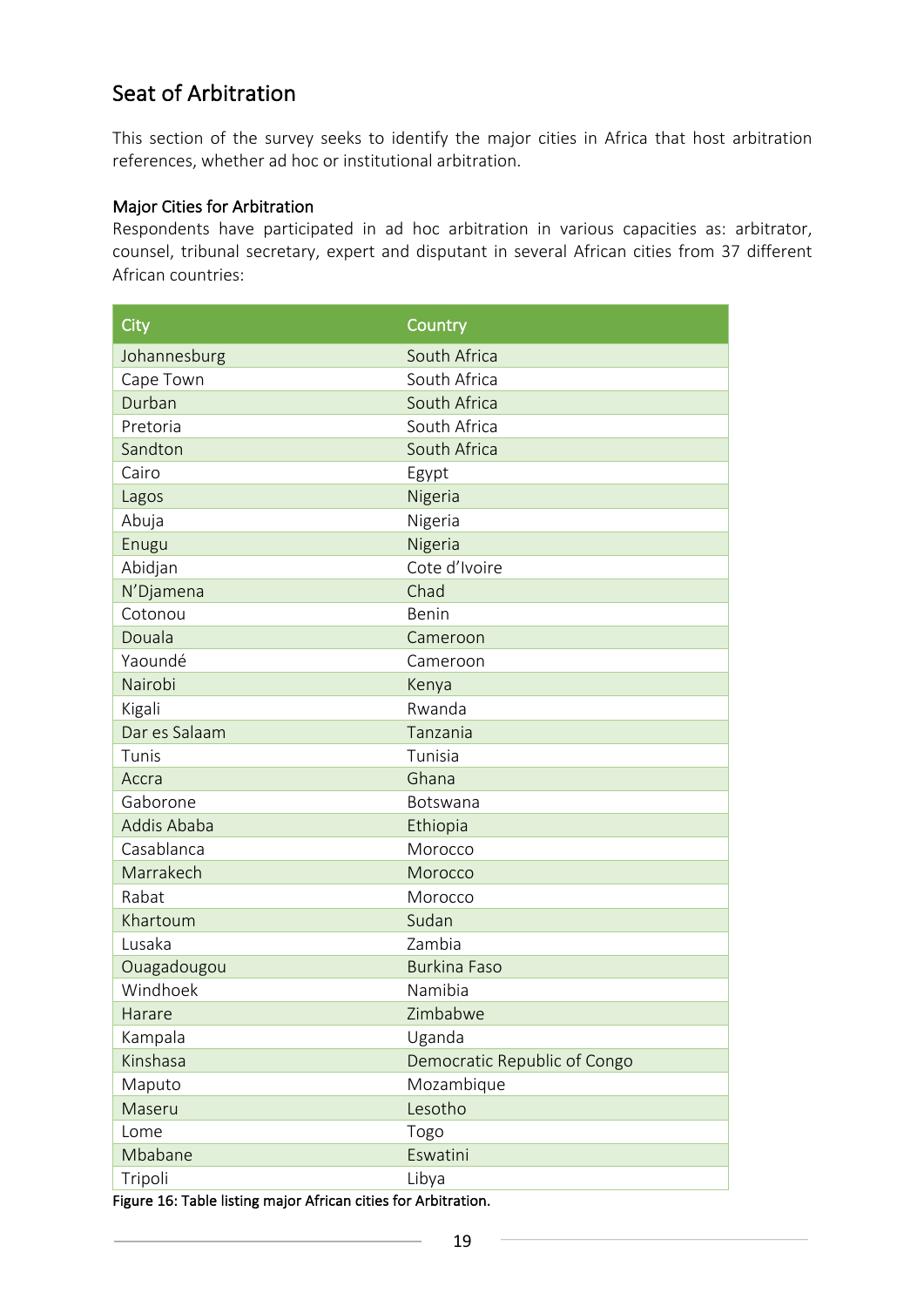## Seat of Arbitration

This section of the survey seeks to identify the major cities in Africa that host arbitration references, whether ad hoc or institutional arbitration.

#### Major Cities for Arbitration

Respondents have participated in ad hoc arbitration in various capacities as: arbitrator, counsel, tribunal secretary, expert and disputant in several African cities from 37 different African countries:

| City          | Country                      |
|---------------|------------------------------|
| Johannesburg  | South Africa                 |
| Cape Town     | South Africa                 |
| Durban        | South Africa                 |
| Pretoria      | South Africa                 |
| Sandton       | South Africa                 |
| Cairo         | Egypt                        |
| Lagos         | Nigeria                      |
| Abuja         | Nigeria                      |
| Enugu         | Nigeria                      |
| Abidjan       | Cote d'Ivoire                |
| N'Djamena     | Chad                         |
| Cotonou       | Benin                        |
| Douala        | Cameroon                     |
| Yaoundé       | Cameroon                     |
| Nairobi       | Kenya                        |
| Kigali        | Rwanda                       |
| Dar es Salaam | Tanzania                     |
| Tunis         | Tunisia                      |
| Accra         | Ghana                        |
| Gaborone      | Botswana                     |
| Addis Ababa   | Ethiopia                     |
| Casablanca    | Morocco                      |
| Marrakech     | Morocco                      |
| Rabat         | Morocco                      |
| Khartoum      | Sudan                        |
| Lusaka        | Zambia                       |
| Ouagadougou   | <b>Burkina Faso</b>          |
| Windhoek      | Namibia                      |
| Harare        | Zimbabwe                     |
| Kampala       | Uganda                       |
| Kinshasa      | Democratic Republic of Congo |
| Maputo        | Mozambique                   |
| Maseru        | Lesotho                      |
| Lome          | Togo                         |
| Mbabane       | Eswatini                     |
| Tripoli       | Libya                        |

Figure 16: Table listing major African cities for Arbitration.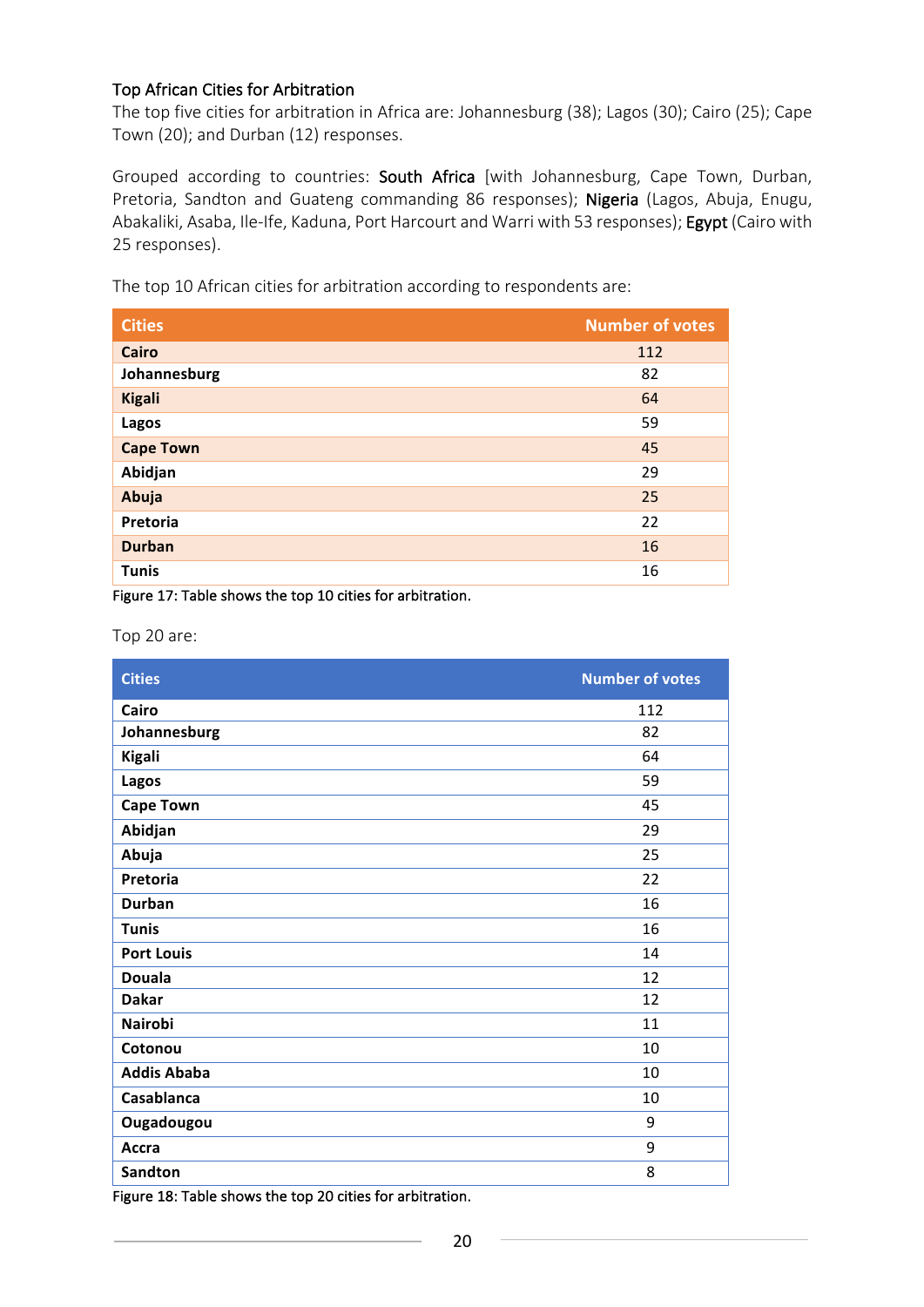#### Top African Cities for Arbitration

The top five cities for arbitration in Africa are: Johannesburg (38); Lagos (30); Cairo (25); Cape Town (20); and Durban (12) responses.

Grouped according to countries: South Africa [with Johannesburg, Cape Town, Durban, Pretoria, Sandton and Guateng commanding 86 responses); Nigeria (Lagos, Abuja, Enugu, Abakaliki, Asaba, Ile-Ife, Kaduna, Port Harcourt and Warri with 53 responses); Egypt (Cairo with 25 responses).

The top 10 African cities for arbitration according to respondents are:

| <b>Cities</b>    | <b>Number of votes</b> |
|------------------|------------------------|
| Cairo            | 112                    |
| Johannesburg     | 82                     |
| <b>Kigali</b>    | 64                     |
| Lagos            | 59                     |
| <b>Cape Town</b> | 45                     |
| Abidjan          | 29                     |
| Abuja            | 25                     |
| Pretoria         | 22                     |
| <b>Durban</b>    | 16                     |
| <b>Tunis</b>     | 16                     |

Figure 17: Table shows the top 10 cities for arbitration.

Top 20 are:

| <b>Cities</b>      | <b>Number of votes</b> |
|--------------------|------------------------|
| Cairo              | 112                    |
| Johannesburg       | 82                     |
| <b>Kigali</b>      | 64                     |
| Lagos              | 59                     |
| <b>Cape Town</b>   | 45                     |
| Abidjan            | 29                     |
| Abuja              | 25                     |
| Pretoria           | 22                     |
| <b>Durban</b>      | 16                     |
| <b>Tunis</b>       | 16                     |
| <b>Port Louis</b>  | 14                     |
| <b>Douala</b>      | 12                     |
| <b>Dakar</b>       | 12                     |
| <b>Nairobi</b>     | 11                     |
| Cotonou            | 10                     |
| <b>Addis Ababa</b> | 10                     |
| Casablanca         | 10                     |
| Ougadougou         | 9                      |
| Accra              | 9                      |
| <b>Sandton</b>     | 8                      |

Figure 18: Table shows the top 20 cities for arbitration.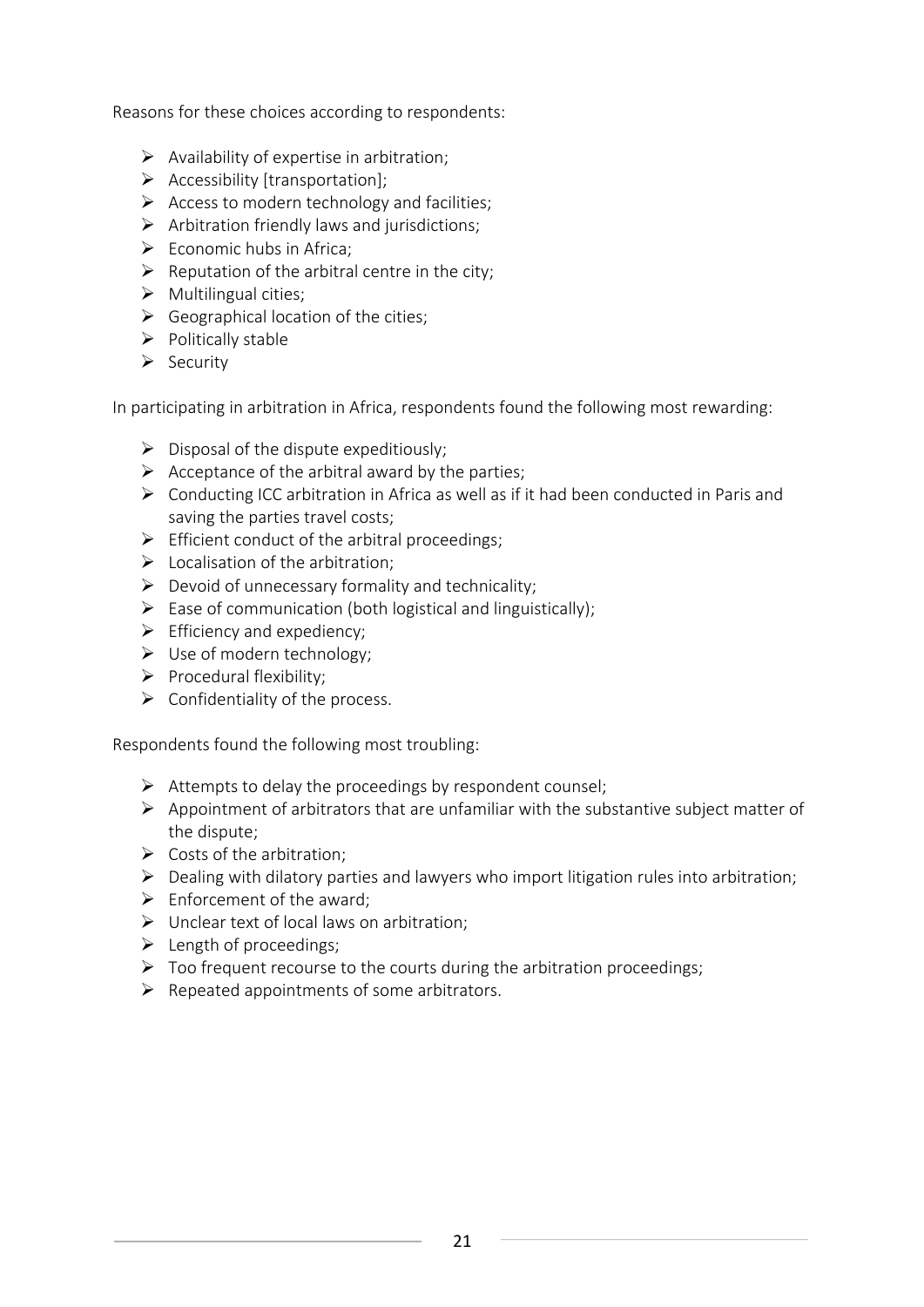Reasons for these choices according to respondents:

- $\triangleright$  Availability of expertise in arbitration;
- $\triangleright$  Accessibility [transportation];
- $\triangleright$  Access to modern technology and facilities;
- $\triangleright$  Arbitration friendly laws and jurisdictions;
- $\triangleright$  Economic hubs in Africa:
- $\triangleright$  Reputation of the arbitral centre in the city;
- $\triangleright$  Multilingual cities;
- $\triangleright$  Geographical location of the cities:
- $\triangleright$  Politically stable
- $\triangleright$  Security

In participating in arbitration in Africa, respondents found the following most rewarding:

- $\triangleright$  Disposal of the dispute expeditiously;
- $\triangleright$  Acceptance of the arbitral award by the parties;
- $\triangleright$  Conducting ICC arbitration in Africa as well as if it had been conducted in Paris and saving the parties travel costs;
- $\triangleright$  Efficient conduct of the arbitral proceedings:
- $\triangleright$  Localisation of the arbitration:
- $\triangleright$  Devoid of unnecessary formality and technicality;
- $\triangleright$  Ease of communication (both logistical and linguistically);
- $\triangleright$  Efficiency and expediency:
- $\triangleright$  Use of modern technology;
- $\triangleright$  Procedural flexibility;
- $\triangleright$  Confidentiality of the process.

Respondents found the following most troubling:

- $\triangleright$  Attempts to delay the proceedings by respondent counsel;
- $\triangleright$  Appointment of arbitrators that are unfamiliar with the substantive subject matter of the dispute:
- $\triangleright$  Costs of the arbitration;
- $\triangleright$  Dealing with dilatory parties and lawyers who import litigation rules into arbitration;
- $\triangleright$  Enforcement of the award:
- $\triangleright$  Unclear text of local laws on arbitration;
- $\blacktriangleright$  Length of proceedings:
- $\triangleright$  Too frequent recourse to the courts during the arbitration proceedings;
- $\triangleright$  Repeated appointments of some arbitrators.